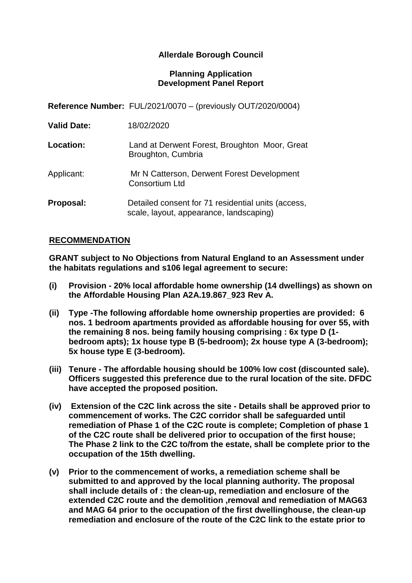# **Allerdale Borough Council**

#### **Planning Application Development Panel Report**

**Reference Number:** FUL/2021/0070 – (previously OUT/2020/0004)

| Land at Derwent Forest, Broughton Moor, Great<br>Broughton, Cumbria |
|---------------------------------------------------------------------|

Applicant: Mr N Catterson, Derwent Forest Development Consortium Ltd

**Proposal:** Detailed consent for 71 residential units (access, scale, layout, appearance, landscaping)

### **RECOMMENDATION**

**GRANT subject to No Objections from Natural England to an Assessment under the habitats regulations and s106 legal agreement to secure:**

- **(i) Provision - 20% local affordable home ownership (14 dwellings) as shown on the Affordable Housing Plan A2A.19.867\_923 Rev A.**
- **(ii) Type -The following affordable home ownership properties are provided: 6 nos. 1 bedroom apartments provided as affordable housing for over 55, with the remaining 8 nos. being family housing comprising : 6x type D (1 bedroom apts); 1x house type B (5-bedroom); 2x house type A (3-bedroom); 5x house type E (3-bedroom).**
- **(iii) Tenure - The affordable housing should be 100% low cost (discounted sale). Officers suggested this preference due to the rural location of the site. DFDC have accepted the proposed position.**
- **(iv) Extension of the C2C link across the site - Details shall be approved prior to commencement of works. The C2C corridor shall be safeguarded until remediation of Phase 1 of the C2C route is complete; Completion of phase 1 of the C2C route shall be delivered prior to occupation of the first house; The Phase 2 link to the C2C to/from the estate, shall be complete prior to the occupation of the 15th dwelling.**
- **(v) Prior to the commencement of works, a remediation scheme shall be submitted to and approved by the local planning authority. The proposal shall include details of : the clean-up, remediation and enclosure of the extended C2C route and the demolition ,removal and remediation of MAG63 and MAG 64 prior to the occupation of the first dwellinghouse, the clean-up remediation and enclosure of the route of the C2C link to the estate prior to**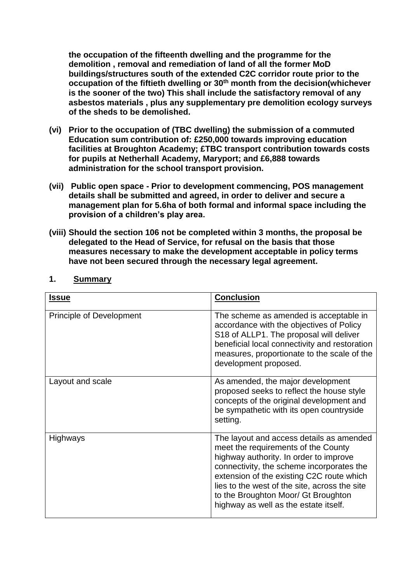**the occupation of the fifteenth dwelling and the programme for the demolition , removal and remediation of land of all the former MoD buildings/structures south of the extended C2C corridor route prior to the occupation of the fiftieth dwelling or 30th month from the decision(whichever is the sooner of the two) This shall include the satisfactory removal of any asbestos materials , plus any supplementary pre demolition ecology surveys of the sheds to be demolished.**

- **(vi) Prior to the occupation of (TBC dwelling) the submission of a commuted Education sum contribution of: £250,000 towards improving education facilities at Broughton Academy; £TBC transport contribution towards costs for pupils at Netherhall Academy, Maryport; and £6,888 towards administration for the school transport provision.**
- **(vii) Public open space - Prior to development commencing, POS management details shall be submitted and agreed, in order to deliver and secure a management plan for 5.6ha of both formal and informal space including the provision of a children's play area.**
- **(viii) Should the section 106 not be completed within 3 months, the proposal be delegated to the Head of Service, for refusal on the basis that those measures necessary to make the development acceptable in policy terms have not been secured through the necessary legal agreement.**

| <b>Issue</b>                    | <b>Conclusion</b>                                                                                                                                                                                                                                                                                                                                    |
|---------------------------------|------------------------------------------------------------------------------------------------------------------------------------------------------------------------------------------------------------------------------------------------------------------------------------------------------------------------------------------------------|
| <b>Principle of Development</b> | The scheme as amended is acceptable in<br>accordance with the objectives of Policy<br>S18 of ALLP1. The proposal will deliver<br>beneficial local connectivity and restoration<br>measures, proportionate to the scale of the<br>development proposed.                                                                                               |
| Layout and scale                | As amended, the major development<br>proposed seeks to reflect the house style<br>concepts of the original development and<br>be sympathetic with its open countryside<br>setting.                                                                                                                                                                   |
| <b>Highways</b>                 | The layout and access details as amended<br>meet the requirements of the County<br>highway authority. In order to improve<br>connectivity, the scheme incorporates the<br>extension of the existing C2C route which<br>lies to the west of the site, across the site<br>to the Broughton Moor/ Gt Broughton<br>highway as well as the estate itself. |

### **1. Summary**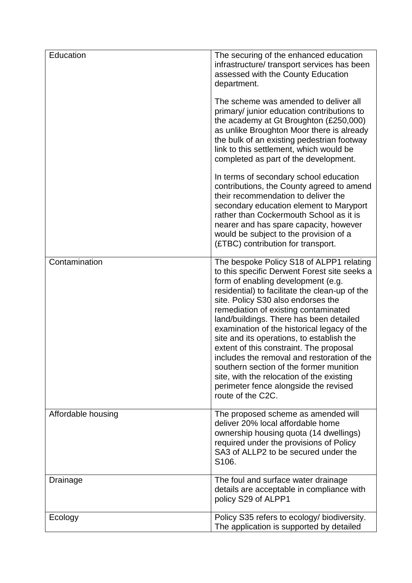| Education          | The securing of the enhanced education<br>infrastructure/ transport services has been<br>assessed with the County Education<br>department.<br>The scheme was amended to deliver all<br>primary/ junior education contributions to<br>the academy at Gt Broughton (£250,000)<br>as unlike Broughton Moor there is already<br>the bulk of an existing pedestrian footway<br>link to this settlement, which would be<br>completed as part of the development.                                                                                                                                                                                            |
|--------------------|-------------------------------------------------------------------------------------------------------------------------------------------------------------------------------------------------------------------------------------------------------------------------------------------------------------------------------------------------------------------------------------------------------------------------------------------------------------------------------------------------------------------------------------------------------------------------------------------------------------------------------------------------------|
|                    | In terms of secondary school education<br>contributions, the County agreed to amend<br>their recommendation to deliver the<br>secondary education element to Maryport<br>rather than Cockermouth School as it is<br>nearer and has spare capacity, however<br>would be subject to the provision of a<br>(£TBC) contribution for transport.                                                                                                                                                                                                                                                                                                            |
| Contamination      | The bespoke Policy S18 of ALPP1 relating<br>to this specific Derwent Forest site seeks a<br>form of enabling development (e.g.<br>residential) to facilitate the clean-up of the<br>site. Policy S30 also endorses the<br>remediation of existing contaminated<br>land/buildings. There has been detailed<br>examination of the historical legacy of the<br>site and its operations, to establish the<br>extent of this constraint. The proposal<br>includes the removal and restoration of the<br>southern section of the former munition<br>site, with the relocation of the existing<br>perimeter fence alongside the revised<br>route of the C2C. |
| Affordable housing | The proposed scheme as amended will<br>deliver 20% local affordable home<br>ownership housing quota (14 dwellings)<br>required under the provisions of Policy<br>SA3 of ALLP2 to be secured under the<br>S <sub>106</sub> .                                                                                                                                                                                                                                                                                                                                                                                                                           |
| Drainage           | The foul and surface water drainage<br>details are acceptable in compliance with<br>policy S29 of ALPP1                                                                                                                                                                                                                                                                                                                                                                                                                                                                                                                                               |
| Ecology            | Policy S35 refers to ecology/ biodiversity.<br>The application is supported by detailed                                                                                                                                                                                                                                                                                                                                                                                                                                                                                                                                                               |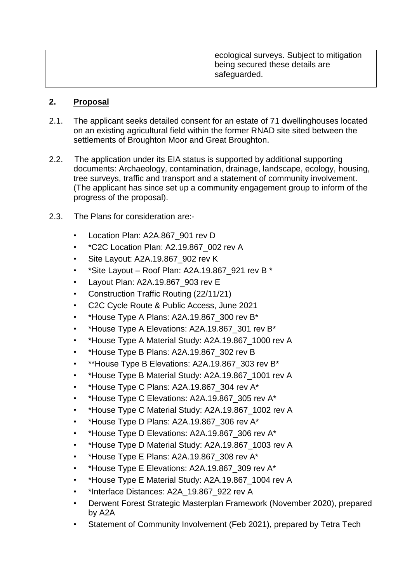| ecological surveys. Subject to mitigation<br>being secured these details are<br>safeguarded. |
|----------------------------------------------------------------------------------------------|
|                                                                                              |

### **2. Proposal**

- 2.1. The applicant seeks detailed consent for an estate of 71 dwellinghouses located on an existing agricultural field within the former RNAD site sited between the settlements of Broughton Moor and Great Broughton.
- 2.2. The application under its EIA status is supported by additional supporting documents: Archaeology, contamination, drainage, landscape, ecology, housing, tree surveys, traffic and transport and a statement of community involvement. (The applicant has since set up a community engagement group to inform of the progress of the proposal).
- 2.3. The Plans for consideration are:-
	- Location Plan: A2A.867\_901 rev D
	- \*C2C Location Plan: A2.19.867\_002 rev A
	- Site Layout: A2A.19.867\_902 rev K
	- \*Site Layout Roof Plan: A2A.19.867\_921 rev B  $*$
	- Layout Plan: A2A.19.867\_903 rev E
	- Construction Traffic Routing (22/11/21)
	- C2C Cycle Route & Public Access, June 2021
	- \*House Type A Plans: A2A.19.867\_300 rev B\*
	- \*House Type A Elevations: A2A.19.867\_301 rev B\*
	- \*House Type A Material Study: A2A.19.867\_1000 rev A
	- \*House Type B Plans: A2A.19.867\_302 rev B
	- \*\*House Type B Elevations: A2A.19.867\_303 rev B\*
	- \*House Type B Material Study: A2A.19.867\_1001 rev A
	- \*House Type C Plans: A2A.19.867\_304 rev A\*
	- \*House Type C Elevations: A2A.19.867\_305 rev A\*
	- \*House Type C Material Study: A2A.19.867\_1002 rev A
	- \*House Type D Plans: A2A.19.867\_306 rev A\*
	- \*House Type D Elevations: A2A.19.867\_306 rev A\*
	- \*House Type D Material Study: A2A.19.867\_1003 rev A
	- \*House Type E Plans: A2A.19.867 308 rev  $A^*$
	- \*House Type E Elevations: A2A.19.867\_309 rev A\*
	- \*House Type E Material Study: A2A.19.867\_1004 rev A
	- \*Interface Distances: A2A\_19.867\_922 rev A
	- Derwent Forest Strategic Masterplan Framework (November 2020), prepared by A2A
	- Statement of Community Involvement (Feb 2021), prepared by Tetra Tech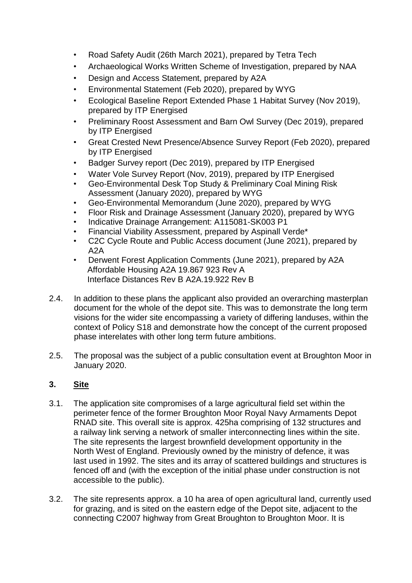- Road Safety Audit (26th March 2021), prepared by Tetra Tech
- Archaeological Works Written Scheme of Investigation, prepared by NAA
- Design and Access Statement, prepared by A2A
- Environmental Statement (Feb 2020), prepared by WYG
- Ecological Baseline Report Extended Phase 1 Habitat Survey (Nov 2019), prepared by ITP Energised
- Preliminary Roost Assessment and Barn Owl Survey (Dec 2019), prepared by ITP Energised
- Great Crested Newt Presence/Absence Survey Report (Feb 2020), prepared by ITP Energised
- Badger Survey report (Dec 2019), prepared by ITP Energised
- Water Vole Survey Report (Nov, 2019), prepared by ITP Energised
- Geo-Environmental Desk Top Study & Preliminary Coal Mining Risk Assessment (January 2020), prepared by WYG
- Geo-Environmental Memorandum (June 2020), prepared by WYG
- Floor Risk and Drainage Assessment (January 2020), prepared by WYG
- Indicative Drainage Arrangement: A115081-SK003 P1
- Financial Viability Assessment, prepared by Aspinall Verde\*
- C2C Cycle Route and Public Access document (June 2021), prepared by A2A
- Derwent Forest Application Comments (June 2021), prepared by A2A Affordable Housing A2A 19.867 923 Rev A Interface Distances Rev B A2A.19.922 Rev B
- 2.4. In addition to these plans the applicant also provided an overarching masterplan document for the whole of the depot site. This was to demonstrate the long term visions for the wider site encompassing a variety of differing landuses, within the context of Policy S18 and demonstrate how the concept of the current proposed phase interelates with other long term future ambitions.
- 2.5. The proposal was the subject of a public consultation event at Broughton Moor in January 2020.

# **3. Site**

- 3.1. The application site compromises of a large agricultural field set within the perimeter fence of the former Broughton Moor Royal Navy Armaments Depot RNAD site. This overall site is approx. 425ha comprising of 132 structures and a railway link serving a network of smaller interconnecting lines within the site. The site represents the largest brownfield development opportunity in the North West of England. Previously owned by the ministry of defence, it was last used in 1992. The sites and its array of scattered buildings and structures is fenced off and (with the exception of the initial phase under construction is not accessible to the public).
- 3.2. The site represents approx. a 10 ha area of open agricultural land, currently used for grazing, and is sited on the eastern edge of the Depot site, adjacent to the connecting C2007 highway from Great Broughton to Broughton Moor. It is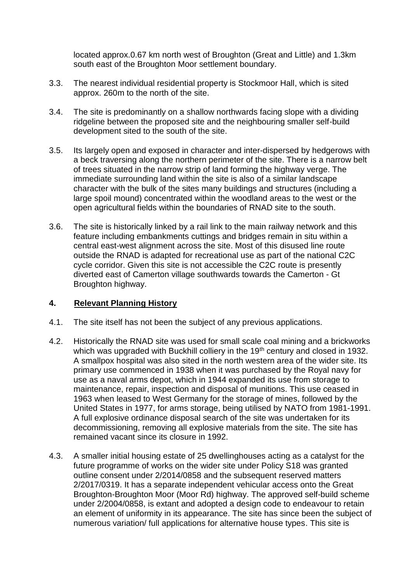located approx.0.67 km north west of Broughton (Great and Little) and 1.3km south east of the Broughton Moor settlement boundary.

- 3.3. The nearest individual residential property is Stockmoor Hall, which is sited approx. 260m to the north of the site.
- 3.4. The site is predominantly on a shallow northwards facing slope with a dividing ridgeline between the proposed site and the neighbouring smaller self-build development sited to the south of the site.
- 3.5. Its largely open and exposed in character and inter-dispersed by hedgerows with a beck traversing along the northern perimeter of the site. There is a narrow belt of trees situated in the narrow strip of land forming the highway verge. The immediate surrounding land within the site is also of a similar landscape character with the bulk of the sites many buildings and structures (including a large spoil mound) concentrated within the woodland areas to the west or the open agricultural fields within the boundaries of RNAD site to the south.
- 3.6. The site is historically linked by a rail link to the main railway network and this feature including embankments cuttings and bridges remain in situ within a central east-west alignment across the site. Most of this disused line route outside the RNAD is adapted for recreational use as part of the national C2C cycle corridor. Given this site is not accessible the C2C route is presently diverted east of Camerton village southwards towards the Camerton - Gt Broughton highway.

### **4. Relevant Planning History**

- 4.1. The site itself has not been the subject of any previous applications.
- 4.2. Historically the RNAD site was used for small scale coal mining and a brickworks which was upgraded with Buckhill colliery in the 19<sup>th</sup> century and closed in 1932. A smallpox hospital was also sited in the north western area of the wider site. Its primary use commenced in 1938 when it was purchased by the Royal navy for use as a naval arms depot, which in 1944 expanded its use from storage to maintenance, repair, inspection and disposal of munitions. This use ceased in 1963 when leased to West Germany for the storage of mines, followed by the United States in 1977, for arms storage, being utilised by NATO from 1981-1991. A full explosive ordinance disposal search of the site was undertaken for its decommissioning, removing all explosive materials from the site. The site has remained vacant since its closure in 1992.
- 4.3. A smaller initial housing estate of 25 dwellinghouses acting as a catalyst for the future programme of works on the wider site under Policy S18 was granted outline consent under 2/2014/0858 and the subsequent reserved matters 2/2017/0319. It has a separate independent vehicular access onto the Great Broughton-Broughton Moor (Moor Rd) highway. The approved self-build scheme under 2/2004/0858, is extant and adopted a design code to endeavour to retain an element of uniformity in its appearance. The site has since been the subject of numerous variation/ full applications for alternative house types. This site is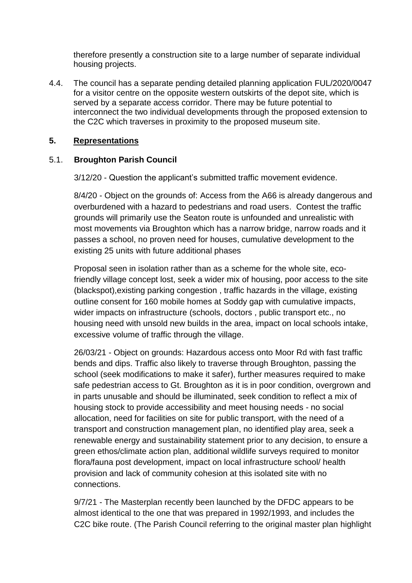therefore presently a construction site to a large number of separate individual housing projects.

4.4. The council has a separate pending detailed planning application FUL/2020/0047 for a visitor centre on the opposite western outskirts of the depot site, which is served by a separate access corridor. There may be future potential to interconnect the two individual developments through the proposed extension to the C2C which traverses in proximity to the proposed museum site.

### **5. Representations**

# 5.1. **Broughton Parish Council**

3/12/20 - Question the applicant's submitted traffic movement evidence.

8/4/20 - Object on the grounds of: Access from the A66 is already dangerous and overburdened with a hazard to pedestrians and road users. Contest the traffic grounds will primarily use the Seaton route is unfounded and unrealistic with most movements via Broughton which has a narrow bridge, narrow roads and it passes a school, no proven need for houses, cumulative development to the existing 25 units with future additional phases

Proposal seen in isolation rather than as a scheme for the whole site, ecofriendly village concept lost, seek a wider mix of housing, poor access to the site (blackspot),existing parking congestion , traffic hazards in the village, existing outline consent for 160 mobile homes at Soddy gap with cumulative impacts, wider impacts on infrastructure (schools, doctors , public transport etc., no housing need with unsold new builds in the area, impact on local schools intake, excessive volume of traffic through the village.

26/03/21 - Object on grounds: Hazardous access onto Moor Rd with fast traffic bends and dips. Traffic also likely to traverse through Broughton, passing the school (seek modifications to make it safer), further measures required to make safe pedestrian access to Gt. Broughton as it is in poor condition, overgrown and in parts unusable and should be illuminated, seek condition to reflect a mix of housing stock to provide accessibility and meet housing needs - no social allocation, need for facilities on site for public transport, with the need of a transport and construction management plan, no identified play area, seek a renewable energy and sustainability statement prior to any decision, to ensure a green ethos/climate action plan, additional wildlife surveys required to monitor flora/fauna post development, impact on local infrastructure school/ health provision and lack of community cohesion at this isolated site with no connections.

9/7/21 - The Masterplan recently been launched by the DFDC appears to be almost identical to the one that was prepared in 1992/1993, and includes the C2C bike route. (The Parish Council referring to the original master plan highlight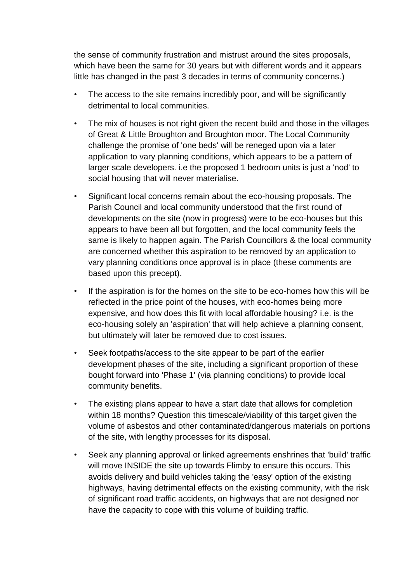the sense of community frustration and mistrust around the sites proposals, which have been the same for 30 years but with different words and it appears little has changed in the past 3 decades in terms of community concerns.)

- The access to the site remains incredibly poor, and will be significantly detrimental to local communities.
- The mix of houses is not right given the recent build and those in the villages of Great & Little Broughton and Broughton moor. The Local Community challenge the promise of 'one beds' will be reneged upon via a later application to vary planning conditions, which appears to be a pattern of larger scale developers. i.e the proposed 1 bedroom units is just a 'nod' to social housing that will never materialise.
- Significant local concerns remain about the eco-housing proposals. The Parish Council and local community understood that the first round of developments on the site (now in progress) were to be eco-houses but this appears to have been all but forgotten, and the local community feels the same is likely to happen again. The Parish Councillors & the local community are concerned whether this aspiration to be removed by an application to vary planning conditions once approval is in place (these comments are based upon this precept).
- If the aspiration is for the homes on the site to be eco-homes how this will be reflected in the price point of the houses, with eco-homes being more expensive, and how does this fit with local affordable housing? i.e. is the eco-housing solely an 'aspiration' that will help achieve a planning consent, but ultimately will later be removed due to cost issues.
- Seek footpaths/access to the site appear to be part of the earlier development phases of the site, including a significant proportion of these bought forward into 'Phase 1' (via planning conditions) to provide local community benefits.
- The existing plans appear to have a start date that allows for completion within 18 months? Question this timescale/viability of this target given the volume of asbestos and other contaminated/dangerous materials on portions of the site, with lengthy processes for its disposal.
- Seek any planning approval or linked agreements enshrines that 'build' traffic will move INSIDE the site up towards Flimby to ensure this occurs. This avoids delivery and build vehicles taking the 'easy' option of the existing highways, having detrimental effects on the existing community, with the risk of significant road traffic accidents, on highways that are not designed nor have the capacity to cope with this volume of building traffic.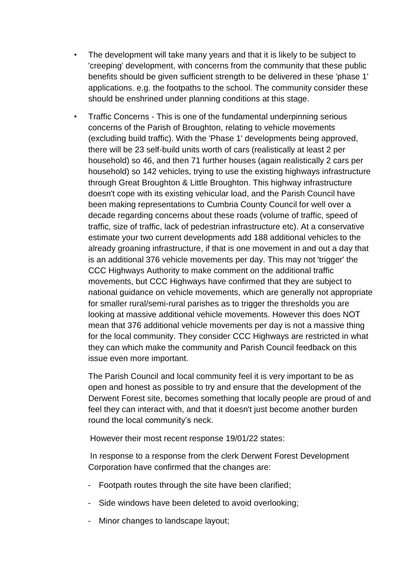- The development will take many years and that it is likely to be subject to 'creeping' development, with concerns from the community that these public benefits should be given sufficient strength to be delivered in these 'phase 1' applications. e.g. the footpaths to the school. The community consider these should be enshrined under planning conditions at this stage.
- Traffic Concerns This is one of the fundamental underpinning serious concerns of the Parish of Broughton, relating to vehicle movements (excluding build traffic). With the 'Phase 1' developments being approved, there will be 23 self-build units worth of cars (realistically at least 2 per household) so 46, and then 71 further houses (again realistically 2 cars per household) so 142 vehicles, trying to use the existing highways infrastructure through Great Broughton & Little Broughton. This highway infrastructure doesn't cope with its existing vehicular load, and the Parish Council have been making representations to Cumbria County Council for well over a decade regarding concerns about these roads (volume of traffic, speed of traffic, size of traffic, lack of pedestrian infrastructure etc). At a conservative estimate your two current developments add 188 additional vehicles to the already groaning infrastructure, if that is one movement in and out a day that is an additional 376 vehicle movements per day. This may not 'trigger' the CCC Highways Authority to make comment on the additional traffic movements, but CCC Highways have confirmed that they are subject to national guidance on vehicle movements, which are generally not appropriate for smaller rural/semi-rural parishes as to trigger the thresholds you are looking at massive additional vehicle movements. However this does NOT mean that 376 additional vehicle movements per day is not a massive thing for the local community. They consider CCC Highways are restricted in what they can which make the community and Parish Council feedback on this issue even more important.

The Parish Council and local community feel it is very important to be as open and honest as possible to try and ensure that the development of the Derwent Forest site, becomes something that locally people are proud of and feel they can interact with, and that it doesn't just become another burden round the local community's neck.

However their most recent response 19/01/22 states:

 In response to a response from the clerk Derwent Forest Development Corporation have confirmed that the changes are:

- Footpath routes through the site have been clarified;
- Side windows have been deleted to avoid overlooking;
- Minor changes to landscape layout;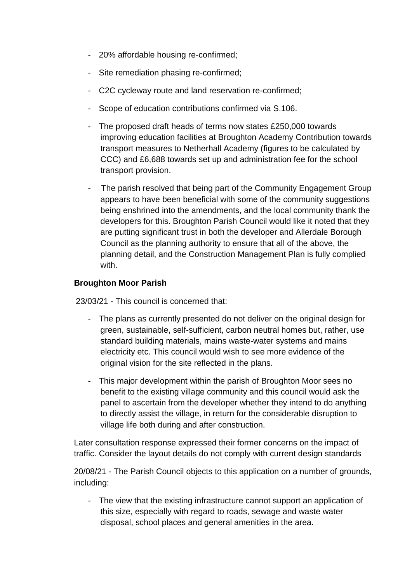- 20% affordable housing re-confirmed;
- Site remediation phasing re-confirmed;
- C2C cycleway route and land reservation re-confirmed;
- Scope of education contributions confirmed via S.106.
- The proposed draft heads of terms now states £250,000 towards improving education facilities at Broughton Academy Contribution towards transport measures to Netherhall Academy (figures to be calculated by CCC) and £6,688 towards set up and administration fee for the school transport provision.
- The parish resolved that being part of the Community Engagement Group appears to have been beneficial with some of the community suggestions being enshrined into the amendments, and the local community thank the developers for this. Broughton Parish Council would like it noted that they are putting significant trust in both the developer and Allerdale Borough Council as the planning authority to ensure that all of the above, the planning detail, and the Construction Management Plan is fully complied with.

### **Broughton Moor Parish**

23/03/21 - This council is concerned that:

- The plans as currently presented do not deliver on the original design for green, sustainable, self-sufficient, carbon neutral homes but, rather, use standard building materials, mains waste-water systems and mains electricity etc. This council would wish to see more evidence of the original vision for the site reflected in the plans.
- This major development within the parish of Broughton Moor sees no benefit to the existing village community and this council would ask the panel to ascertain from the developer whether they intend to do anything to directly assist the village, in return for the considerable disruption to village life both during and after construction.

Later consultation response expressed their former concerns on the impact of traffic. Consider the layout details do not comply with current design standards

20/08/21 - The Parish Council objects to this application on a number of grounds, including:

- The view that the existing infrastructure cannot support an application of this size, especially with regard to roads, sewage and waste water disposal, school places and general amenities in the area.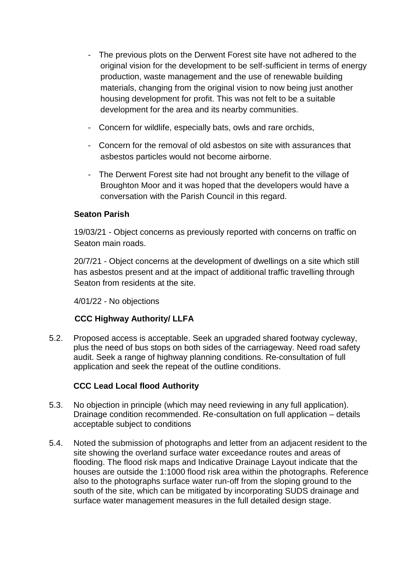- The previous plots on the Derwent Forest site have not adhered to the original vision for the development to be self-sufficient in terms of energy production, waste management and the use of renewable building materials, changing from the original vision to now being just another housing development for profit. This was not felt to be a suitable development for the area and its nearby communities.
- Concern for wildlife, especially bats, owls and rare orchids,
- Concern for the removal of old asbestos on site with assurances that asbestos particles would not become airborne.
- The Derwent Forest site had not brought any benefit to the village of Broughton Moor and it was hoped that the developers would have a conversation with the Parish Council in this regard.

# **Seaton Parish**

19/03/21 - Object concerns as previously reported with concerns on traffic on Seaton main roads.

20/7/21 - Object concerns at the development of dwellings on a site which still has asbestos present and at the impact of additional traffic travelling through Seaton from residents at the site.

4/01/22 - No objections

# **CCC Highway Authority/ LLFA**

5.2. Proposed access is acceptable. Seek an upgraded shared footway cycleway, plus the need of bus stops on both sides of the carriageway. Need road safety audit. Seek a range of highway planning conditions. Re-consultation of full application and seek the repeat of the outline conditions.

# **CCC Lead Local flood Authority**

- 5.3. No objection in principle (which may need reviewing in any full application). Drainage condition recommended. Re-consultation on full application – details acceptable subject to conditions
- 5.4. Noted the submission of photographs and letter from an adjacent resident to the site showing the overland surface water exceedance routes and areas of flooding. The flood risk maps and Indicative Drainage Layout indicate that the houses are outside the 1:1000 flood risk area within the photographs. Reference also to the photographs surface water run-off from the sloping ground to the south of the site, which can be mitigated by incorporating SUDS drainage and surface water management measures in the full detailed design stage.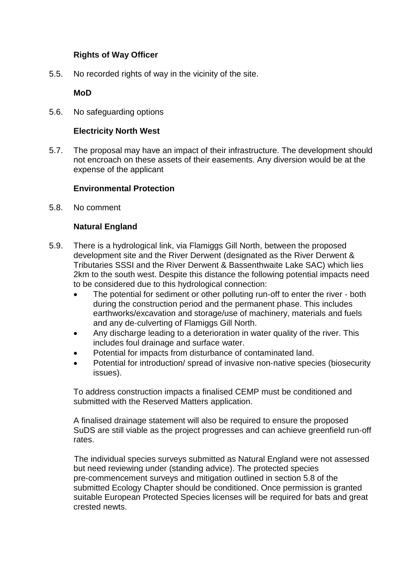# **Rights of Way Officer**

5.5. No recorded rights of way in the vicinity of the site.

# **MoD**

5.6. No safeguarding options

### **Electricity North West**

5.7. The proposal may have an impact of their infrastructure. The development should not encroach on these assets of their easements. Any diversion would be at the expense of the applicant

# **Environmental Protection**

5.8. No comment

# **Natural England**

- 5.9. There is a hydrological link, via Flamiggs Gill North, between the proposed development site and the River Derwent (designated as the River Derwent & Tributaries SSSI and the River Derwent & Bassenthwaite Lake SAC) which lies 2km to the south west. Despite this distance the following potential impacts need to be considered due to this hydrological connection:
	- The potential for sediment or other polluting run‐off to enter the river ‐ both during the construction period and the permanent phase. This includes earthworks/excavation and storage/use of machinery, materials and fuels and any de‐culverting of Flamiggs Gill North.
	- Any discharge leading to a deterioration in water quality of the river. This includes foul drainage and surface water.
	- Potential for impacts from disturbance of contaminated land.
	- Potential for introduction/ spread of invasive non‐native species (biosecurity issues).

To address construction impacts a finalised CEMP must be conditioned and submitted with the Reserved Matters application.

A finalised drainage statement will also be required to ensure the proposed SuDS are still viable as the project progresses and can achieve greenfield run‐off rates.

The individual species surveys submitted as Natural England were not assessed but need reviewing under (standing advice). The protected species pre‐commencement surveys and mitigation outlined in section 5.8 of the submitted Ecology Chapter should be conditioned. Once permission is granted suitable European Protected Species licenses will be required for bats and great crested newts.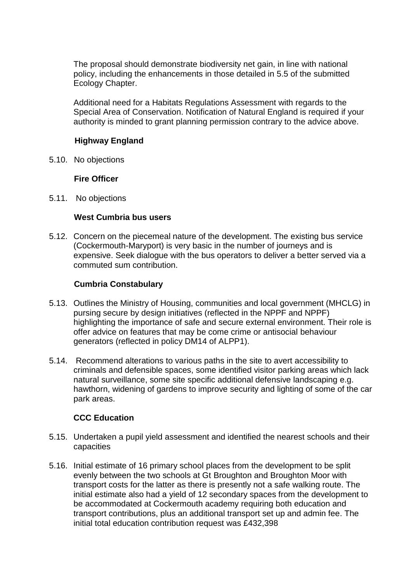The proposal should demonstrate biodiversity net gain, in line with national policy, including the enhancements in those detailed in 5.5 of the submitted Ecology Chapter.

Additional need for a Habitats Regulations Assessment with regards to the Special Area of Conservation. Notification of Natural England is required if your authority is minded to grant planning permission contrary to the advice above.

### **Highway England**

5.10. No objections

#### **Fire Officer**

5.11. No objections

#### **West Cumbria bus users**

5.12. Concern on the piecemeal nature of the development. The existing bus service (Cockermouth-Maryport) is very basic in the number of journeys and is expensive. Seek dialogue with the bus operators to deliver a better served via a commuted sum contribution.

#### **Cumbria Constabulary**

- 5.13. Outlines the Ministry of Housing, communities and local government (MHCLG) in pursing secure by design initiatives (reflected in the NPPF and NPPF) highlighting the importance of safe and secure external environment. Their role is offer advice on features that may be come crime or antisocial behaviour generators (reflected in policy DM14 of ALPP1).
- 5.14. Recommend alterations to various paths in the site to avert accessibility to criminals and defensible spaces, some identified visitor parking areas which lack natural surveillance, some site specific additional defensive landscaping e.g. hawthorn, widening of gardens to improve security and lighting of some of the car park areas.

### **CCC Education**

- 5.15. Undertaken a pupil yield assessment and identified the nearest schools and their capacities
- 5.16. Initial estimate of 16 primary school places from the development to be split evenly between the two schools at Gt Broughton and Broughton Moor with transport costs for the latter as there is presently not a safe walking route. The initial estimate also had a yield of 12 secondary spaces from the development to be accommodated at Cockermouth academy requiring both education and transport contributions, plus an additional transport set up and admin fee. The initial total education contribution request was £432,398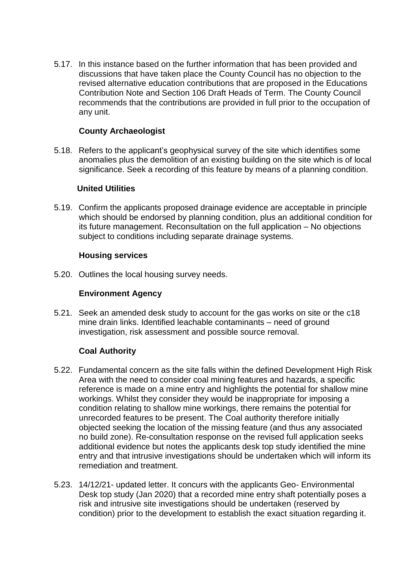5.17. In this instance based on the further information that has been provided and discussions that have taken place the County Council has no objection to the revised alternative education contributions that are proposed in the Educations Contribution Note and Section 106 Draft Heads of Term. The County Council recommends that the contributions are provided in full prior to the occupation of any unit.

### **County Archaeologist**

5.18. Refers to the applicant's geophysical survey of the site which identifies some anomalies plus the demolition of an existing building on the site which is of local significance. Seek a recording of this feature by means of a planning condition.

### **United Utilities**

5.19. Confirm the applicants proposed drainage evidence are acceptable in principle which should be endorsed by planning condition, plus an additional condition for its future management. Reconsultation on the full application – No objections subject to conditions including separate drainage systems.

### **Housing services**

5.20. Outlines the local housing survey needs.

### **Environment Agency**

5.21. Seek an amended desk study to account for the gas works on site or the c18 mine drain links. Identified leachable contaminants – need of ground investigation, risk assessment and possible source removal.

# **Coal Authority**

- 5.22. Fundamental concern as the site falls within the defined Development High Risk Area with the need to consider coal mining features and hazards, a specific reference is made on a mine entry and highlights the potential for shallow mine workings. Whilst they consider they would be inappropriate for imposing a condition relating to shallow mine workings, there remains the potential for unrecorded features to be present. The Coal authority therefore initially objected seeking the location of the missing feature (and thus any associated no build zone). Re-consultation response on the revised full application seeks additional evidence but notes the applicants desk top study identified the mine entry and that intrusive investigations should be undertaken which will inform its remediation and treatment.
- 5.23. 14/12/21- updated letter. It concurs with the applicants Geo- Environmental Desk top study (Jan 2020) that a recorded mine entry shaft potentially poses a risk and intrusive site investigations should be undertaken (reserved by condition) prior to the development to establish the exact situation regarding it.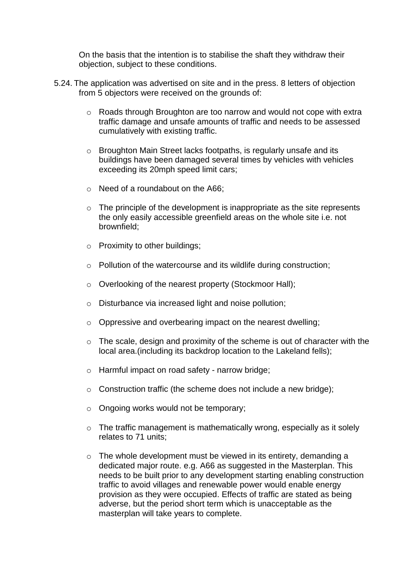On the basis that the intention is to stabilise the shaft they withdraw their objection, subject to these conditions.

- 5.24. The application was advertised on site and in the press. 8 letters of objection from 5 objectors were received on the grounds of:
	- o Roads through Broughton are too narrow and would not cope with extra traffic damage and unsafe amounts of traffic and needs to be assessed cumulatively with existing traffic.
	- o Broughton Main Street lacks footpaths, is regularly unsafe and its buildings have been damaged several times by vehicles with vehicles exceeding its 20mph speed limit cars;
	- o Need of a roundabout on the A66;
	- $\circ$  The principle of the development is inappropriate as the site represents the only easily accessible greenfield areas on the whole site i.e. not brownfield;
	- o Proximity to other buildings;
	- o Pollution of the watercourse and its wildlife during construction;
	- o Overlooking of the nearest property (Stockmoor Hall);
	- o Disturbance via increased light and noise pollution;
	- o Oppressive and overbearing impact on the nearest dwelling;
	- $\circ$  The scale, design and proximity of the scheme is out of character with the local area.(including its backdrop location to the Lakeland fells);
	- o Harmful impact on road safety narrow bridge;
	- $\circ$  Construction traffic (the scheme does not include a new bridge);
	- o Ongoing works would not be temporary;
	- o The traffic management is mathematically wrong, especially as it solely relates to 71 units;
	- $\circ$  The whole development must be viewed in its entirety, demanding a dedicated major route. e.g. A66 as suggested in the Masterplan. This needs to be built prior to any development starting enabling construction traffic to avoid villages and renewable power would enable energy provision as they were occupied. Effects of traffic are stated as being adverse, but the period short term which is unacceptable as the masterplan will take years to complete.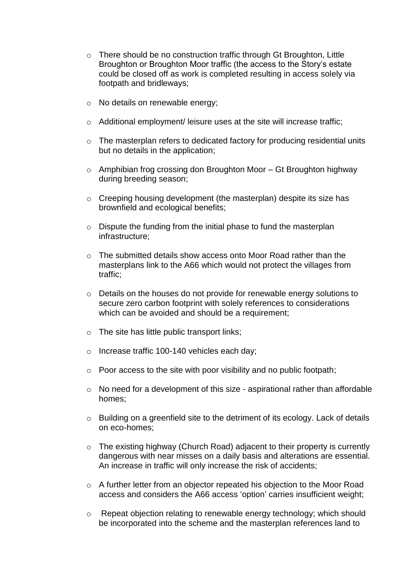- o There should be no construction traffic through Gt Broughton, Little Broughton or Broughton Moor traffic (the access to the Story's estate could be closed off as work is completed resulting in access solely via footpath and bridleways;
- o No details on renewable energy;
- o Additional employment/ leisure uses at the site will increase traffic;
- o The masterplan refers to dedicated factory for producing residential units but no details in the application;
- $\circ$  Amphibian frog crossing don Broughton Moor Gt Broughton highway during breeding season;
- o Creeping housing development (the masterplan) despite its size has brownfield and ecological benefits;
- o Dispute the funding from the initial phase to fund the masterplan infrastructure;
- $\circ$  The submitted details show access onto Moor Road rather than the masterplans link to the A66 which would not protect the villages from traffic;
- o Details on the houses do not provide for renewable energy solutions to secure zero carbon footprint with solely references to considerations which can be avoided and should be a requirement;
- o The site has little public transport links;
- o Increase traffic 100-140 vehicles each day;
- o Poor access to the site with poor visibility and no public footpath;
- o No need for a development of this size aspirational rather than affordable homes;
- o Building on a greenfield site to the detriment of its ecology. Lack of details on eco-homes;
- o The existing highway (Church Road) adjacent to their property is currently dangerous with near misses on a daily basis and alterations are essential. An increase in traffic will only increase the risk of accidents;
- o A further letter from an objector repeated his objection to the Moor Road access and considers the A66 access 'option' carries insufficient weight;
- o Repeat objection relating to renewable energy technology; which should be incorporated into the scheme and the masterplan references land to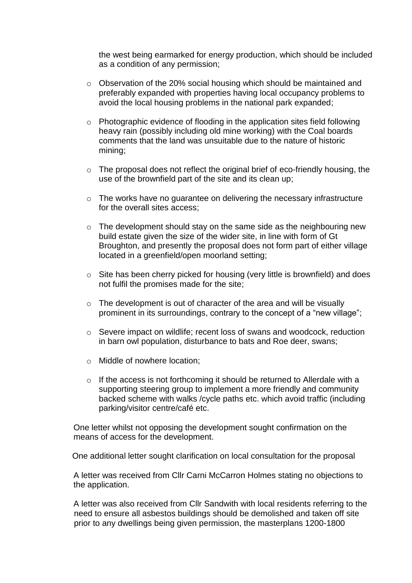the west being earmarked for energy production, which should be included as a condition of any permission;

- o Observation of the 20% social housing which should be maintained and preferably expanded with properties having local occupancy problems to avoid the local housing problems in the national park expanded;
- o Photographic evidence of flooding in the application sites field following heavy rain (possibly including old mine working) with the Coal boards comments that the land was unsuitable due to the nature of historic mining;
- o The proposal does not reflect the original brief of eco-friendly housing, the use of the brownfield part of the site and its clean up;
- o The works have no guarantee on delivering the necessary infrastructure for the overall sites access;
- o The development should stay on the same side as the neighbouring new build estate given the size of the wider site, in line with form of Gt Broughton, and presently the proposal does not form part of either village located in a greenfield/open moorland setting;
- o Site has been cherry picked for housing (very little is brownfield) and does not fulfil the promises made for the site;
- $\circ$  The development is out of character of the area and will be visually prominent in its surroundings, contrary to the concept of a "new village";
- o Severe impact on wildlife; recent loss of swans and woodcock, reduction in barn owl population, disturbance to bats and Roe deer, swans;
- o Middle of nowhere location;
- o If the access is not forthcoming it should be returned to Allerdale with a supporting steering group to implement a more friendly and community backed scheme with walks /cycle paths etc. which avoid traffic (including parking/visitor centre/café etc.

One letter whilst not opposing the development sought confirmation on the means of access for the development.

One additional letter sought clarification on local consultation for the proposal

A letter was received from Cllr Carni McCarron Holmes stating no objections to the application.

A letter was also received from Cllr Sandwith with local residents referring to the need to ensure all asbestos buildings should be demolished and taken off site prior to any dwellings being given permission, the masterplans 1200-1800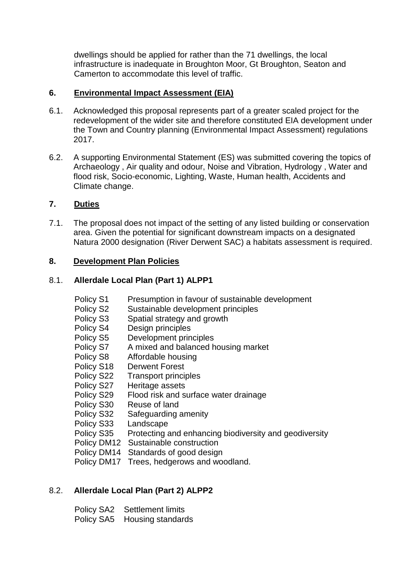dwellings should be applied for rather than the 71 dwellings, the local infrastructure is inadequate in Broughton Moor, Gt Broughton, Seaton and Camerton to accommodate this level of traffic.

### **6. Environmental Impact Assessment (EIA)**

- 6.1. Acknowledged this proposal represents part of a greater scaled project for the redevelopment of the wider site and therefore constituted EIA development under the Town and Country planning (Environmental Impact Assessment) regulations 2017.
- 6.2. A supporting Environmental Statement (ES) was submitted covering the topics of Archaeology , Air quality and odour, Noise and Vibration, Hydrology , Water and flood risk, Socio-economic, Lighting, Waste, Human health, Accidents and Climate change.

# **7. Duties**

7.1. The proposal does not impact of the setting of any listed building or conservation area. Given the potential for significant downstream impacts on a designated Natura 2000 designation (River Derwent SAC) a habitats assessment is required.

### **8. Development Plan Policies**

### 8.1. **Allerdale Local Plan (Part 1) ALPP1**

 Policy S1 Presumption in favour of sustainable development Policy S2 Sustainable development principles Policy S3 Spatial strategy and growth Policy S4 Design principles Policy S5 Development principles Policy S7 A mixed and balanced housing market Policy S8 Affordable housing Policy S18 Derwent Forest Policy S22 Transport principles Policy S27 Heritage assets Policy S29 Flood risk and surface water drainage Policy S30 Reuse of land Policy S32 Safeguarding amenity Policy S33 Landscape Policy S35 Protecting and enhancing biodiversity and geodiversity Policy DM12 Sustainable construction Policy DM14 Standards of good design Policy DM17 Trees, hedgerows and woodland.

# 8.2. **Allerdale Local Plan (Part 2) ALPP2**

| Policy SA2 Settlement limits |
|------------------------------|
| Policy SA5 Housing standards |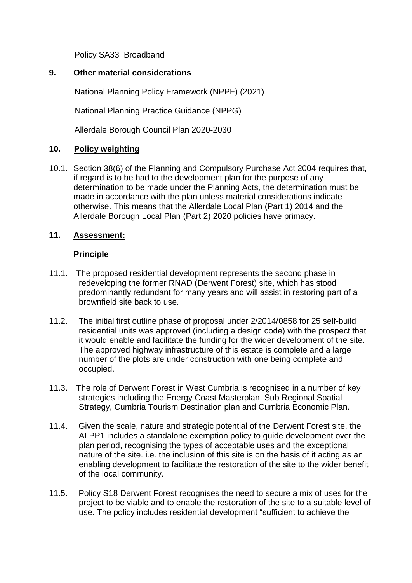Policy SA33 Broadband

### **9. Other material considerations**

National Planning Policy Framework (NPPF) (2021)

National Planning Practice Guidance (NPPG)

Allerdale Borough Council Plan 2020-2030

# **10. Policy weighting**

10.1. Section 38(6) of the Planning and Compulsory Purchase Act 2004 requires that, if regard is to be had to the development plan for the purpose of any determination to be made under the Planning Acts, the determination must be made in accordance with the plan unless material considerations indicate otherwise. This means that the Allerdale Local Plan (Part 1) 2014 and the Allerdale Borough Local Plan (Part 2) 2020 policies have primacy.

# **11. Assessment:**

# **Principle**

- 11.1. The proposed residential development represents the second phase in redeveloping the former RNAD (Derwent Forest) site, which has stood predominantly redundant for many years and will assist in restoring part of a brownfield site back to use.
- 11.2. The initial first outline phase of proposal under 2/2014/0858 for 25 self-build residential units was approved (including a design code) with the prospect that it would enable and facilitate the funding for the wider development of the site. The approved highway infrastructure of this estate is complete and a large number of the plots are under construction with one being complete and occupied.
- 11.3. The role of Derwent Forest in West Cumbria is recognised in a number of key strategies including the Energy Coast Masterplan, Sub Regional Spatial Strategy, Cumbria Tourism Destination plan and Cumbria Economic Plan.
- 11.4. Given the scale, nature and strategic potential of the Derwent Forest site, the ALPP1 includes a standalone exemption policy to guide development over the plan period, recognising the types of acceptable uses and the exceptional nature of the site. i.e. the inclusion of this site is on the basis of it acting as an enabling development to facilitate the restoration of the site to the wider benefit of the local community.
- 11.5. Policy S18 Derwent Forest recognises the need to secure a mix of uses for the project to be viable and to enable the restoration of the site to a suitable level of use. The policy includes residential development "sufficient to achieve the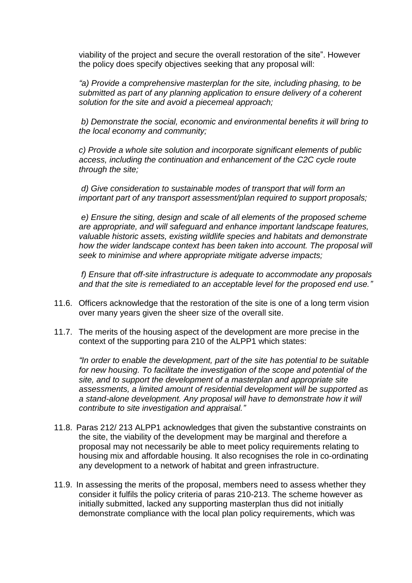viability of the project and secure the overall restoration of the site". However the policy does specify objectives seeking that any proposal will:

*"a) Provide a comprehensive masterplan for the site, including phasing, to be submitted as part of any planning application to ensure delivery of a coherent solution for the site and avoid a piecemeal approach;*

*b) Demonstrate the social, economic and environmental benefits it will bring to the local economy and community;*

*c) Provide a whole site solution and incorporate significant elements of public access, including the continuation and enhancement of the C2C cycle route through the site;*

*d) Give consideration to sustainable modes of transport that will form an important part of any transport assessment/plan required to support proposals;*

*e) Ensure the siting, design and scale of all elements of the proposed scheme are appropriate, and will safeguard and enhance important landscape features, valuable historic assets, existing wildlife species and habitats and demonstrate*  how the wider landscape context has been taken into account. The proposal will *seek to minimise and where appropriate mitigate adverse impacts;*

*f) Ensure that off-site infrastructure is adequate to accommodate any proposals and that the site is remediated to an acceptable level for the proposed end use."*

- 11.6. Officers acknowledge that the restoration of the site is one of a long term vision over many years given the sheer size of the overall site.
- 11.7. The merits of the housing aspect of the development are more precise in the context of the supporting para 210 of the ALPP1 which states:

*"In order to enable the development, part of the site has potential to be suitable for new housing. To facilitate the investigation of the scope and potential of the site, and to support the development of a masterplan and appropriate site assessments, a limited amount of residential development will be supported as a stand-alone development. Any proposal will have to demonstrate how it will contribute to site investigation and appraisal."*

- 11.8. Paras 212/ 213 ALPP1 acknowledges that given the substantive constraints on the site, the viability of the development may be marginal and therefore a proposal may not necessarily be able to meet policy requirements relating to housing mix and affordable housing. It also recognises the role in co-ordinating any development to a network of habitat and green infrastructure.
- 11.9. In assessing the merits of the proposal, members need to assess whether they consider it fulfils the policy criteria of paras 210-213. The scheme however as initially submitted, lacked any supporting masterplan thus did not initially demonstrate compliance with the local plan policy requirements, which was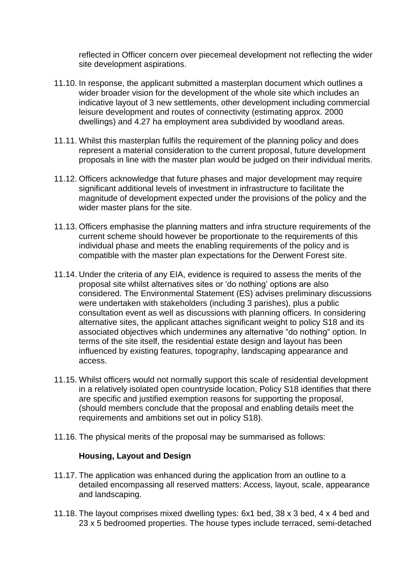reflected in Officer concern over piecemeal development not reflecting the wider site development aspirations.

- 11.10. In response, the applicant submitted a masterplan document which outlines a wider broader vision for the development of the whole site which includes an indicative layout of 3 new settlements, other development including commercial leisure development and routes of connectivity (estimating approx. 2000 dwellings) and 4.27 ha employment area subdivided by woodland areas.
- 11.11. Whilst this masterplan fulfils the requirement of the planning policy and does represent a material consideration to the current proposal, future development proposals in line with the master plan would be judged on their individual merits.
- 11.12. Officers acknowledge that future phases and major development may require significant additional levels of investment in infrastructure to facilitate the magnitude of development expected under the provisions of the policy and the wider master plans for the site.
- 11.13. Officers emphasise the planning matters and infra structure requirements of the current scheme should however be proportionate to the requirements of this individual phase and meets the enabling requirements of the policy and is compatible with the master plan expectations for the Derwent Forest site.
- 11.14. Under the criteria of any EIA, evidence is required to assess the merits of the proposal site whilst alternatives sites or 'do nothing' options are also considered. The Environmental Statement (ES) advises preliminary discussions were undertaken with stakeholders (including 3 parishes), plus a public consultation event as well as discussions with planning officers. In considering alternative sites, the applicant attaches significant weight to policy S18 and its associated objectives which undermines any alternative "do nothing" option. In terms of the site itself, the residential estate design and layout has been influenced by existing features, topography, landscaping appearance and access.
- 11.15. Whilst officers would not normally support this scale of residential development in a relatively isolated open countryside location, Policy S18 identifies that there are specific and justified exemption reasons for supporting the proposal, (should members conclude that the proposal and enabling details meet the requirements and ambitions set out in policy S18).
- 11.16. The physical merits of the proposal may be summarised as follows:

### **Housing, Layout and Design**

- 11.17. The application was enhanced during the application from an outline to a detailed encompassing all reserved matters: Access, layout, scale, appearance and landscaping.
- 11.18. The layout comprises mixed dwelling types: 6x1 bed, 38 x 3 bed, 4 x 4 bed and 23 x 5 bedroomed properties. The house types include terraced, semi-detached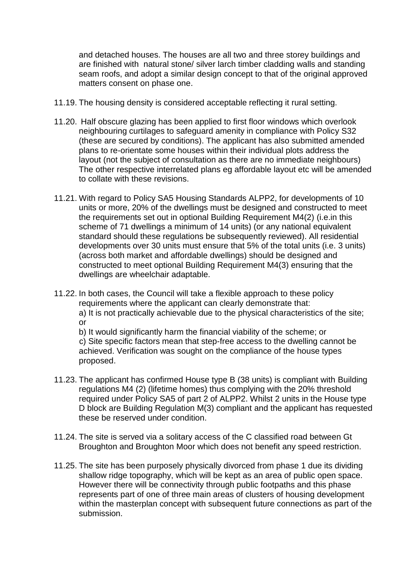and detached houses. The houses are all two and three storey buildings and are finished with natural stone/ silver larch timber cladding walls and standing seam roofs, and adopt a similar design concept to that of the original approved matters consent on phase one.

- 11.19. The housing density is considered acceptable reflecting it rural setting.
- 11.20. Half obscure glazing has been applied to first floor windows which overlook neighbouring curtilages to safeguard amenity in compliance with Policy S32 (these are secured by conditions). The applicant has also submitted amended plans to re-orientate some houses within their individual plots address the layout (not the subject of consultation as there are no immediate neighbours) The other respective interrelated plans eg affordable layout etc will be amended to collate with these revisions.
- 11.21. With regard to Policy SA5 Housing Standards ALPP2, for developments of 10 units or more, 20% of the dwellings must be designed and constructed to meet the requirements set out in optional Building Requirement M4(2) (i.e.in this scheme of 71 dwellings a minimum of 14 units) (or any national equivalent standard should these regulations be subsequently reviewed). All residential developments over 30 units must ensure that 5% of the total units (i.e. 3 units) (across both market and affordable dwellings) should be designed and constructed to meet optional Building Requirement M4(3) ensuring that the dwellings are wheelchair adaptable.
- 11.22. In both cases, the Council will take a flexible approach to these policy requirements where the applicant can clearly demonstrate that: a) It is not practically achievable due to the physical characteristics of the site; or

b) It would significantly harm the financial viability of the scheme; or c) Site specific factors mean that step-free access to the dwelling cannot be achieved. Verification was sought on the compliance of the house types proposed.

- 11.23. The applicant has confirmed House type B (38 units) is compliant with Building regulations M4 (2) (lifetime homes) thus complying with the 20% threshold required under Policy SA5 of part 2 of ALPP2. Whilst 2 units in the House type D block are Building Regulation M(3) compliant and the applicant has requested these be reserved under condition.
- 11.24. The site is served via a solitary access of the C classified road between Gt Broughton and Broughton Moor which does not benefit any speed restriction.
- 11.25. The site has been purposely physically divorced from phase 1 due its dividing shallow ridge topography, which will be kept as an area of public open space. However there will be connectivity through public footpaths and this phase represents part of one of three main areas of clusters of housing development within the masterplan concept with subsequent future connections as part of the submission.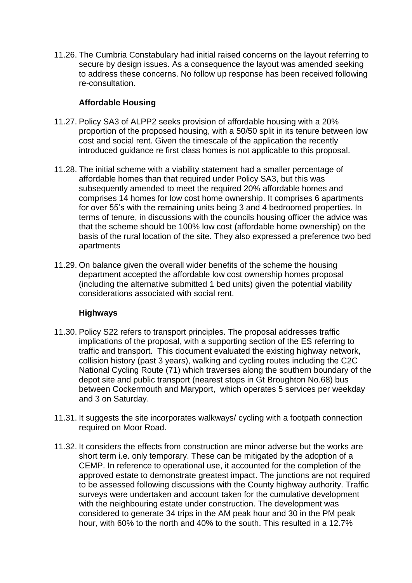11.26. The Cumbria Constabulary had initial raised concerns on the layout referring to secure by design issues. As a consequence the layout was amended seeking to address these concerns. No follow up response has been received following re-consultation.

### **Affordable Housing**

- 11.27. Policy SA3 of ALPP2 seeks provision of affordable housing with a 20% proportion of the proposed housing, with a 50/50 split in its tenure between low cost and social rent. Given the timescale of the application the recently introduced guidance re first class homes is not applicable to this proposal.
- 11.28. The initial scheme with a viability statement had a smaller percentage of affordable homes than that required under Policy SA3, but this was subsequently amended to meet the required 20% affordable homes and comprises 14 homes for low cost home ownership. It comprises 6 apartments for over 55's with the remaining units being 3 and 4 bedroomed properties. In terms of tenure, in discussions with the councils housing officer the advice was that the scheme should be 100% low cost (affordable home ownership) on the basis of the rural location of the site. They also expressed a preference two bed apartments
- 11.29. On balance given the overall wider benefits of the scheme the housing department accepted the affordable low cost ownership homes proposal (including the alternative submitted 1 bed units) given the potential viability considerations associated with social rent.

# **Highways**

- 11.30. Policy S22 refers to transport principles. The proposal addresses traffic implications of the proposal, with a supporting section of the ES referring to traffic and transport. This document evaluated the existing highway network, collision history (past 3 years), walking and cycling routes including the C2C National Cycling Route (71) which traverses along the southern boundary of the depot site and public transport (nearest stops in Gt Broughton No.68) bus between Cockermouth and Maryport, which operates 5 services per weekday and 3 on Saturday.
- 11.31. It suggests the site incorporates walkways/ cycling with a footpath connection required on Moor Road.
- 11.32. It considers the effects from construction are minor adverse but the works are short term i.e. only temporary. These can be mitigated by the adoption of a CEMP. In reference to operational use, it accounted for the completion of the approved estate to demonstrate greatest impact. The junctions are not required to be assessed following discussions with the County highway authority. Traffic surveys were undertaken and account taken for the cumulative development with the neighbouring estate under construction. The development was considered to generate 34 trips in the AM peak hour and 30 in the PM peak hour, with 60% to the north and 40% to the south. This resulted in a 12.7%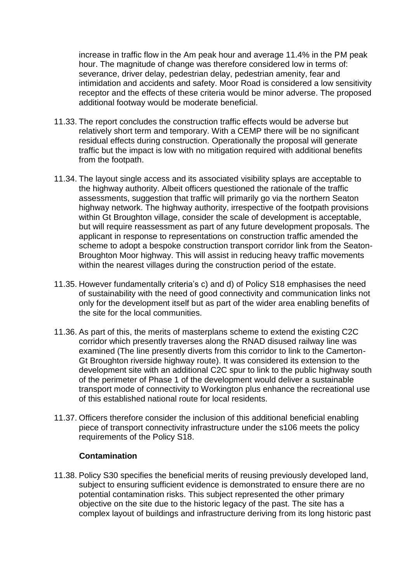increase in traffic flow in the Am peak hour and average 11.4% in the PM peak hour. The magnitude of change was therefore considered low in terms of: severance, driver delay, pedestrian delay, pedestrian amenity, fear and intimidation and accidents and safety. Moor Road is considered a low sensitivity receptor and the effects of these criteria would be minor adverse. The proposed additional footway would be moderate beneficial.

- 11.33. The report concludes the construction traffic effects would be adverse but relatively short term and temporary. With a CEMP there will be no significant residual effects during construction. Operationally the proposal will generate traffic but the impact is low with no mitigation required with additional benefits from the footpath.
- 11.34. The layout single access and its associated visibility splays are acceptable to the highway authority. Albeit officers questioned the rationale of the traffic assessments, suggestion that traffic will primarily go via the northern Seaton highway network. The highway authority, irrespective of the footpath provisions within Gt Broughton village, consider the scale of development is acceptable, but will require reassessment as part of any future development proposals. The applicant in response to representations on construction traffic amended the scheme to adopt a bespoke construction transport corridor link from the Seaton-Broughton Moor highway. This will assist in reducing heavy traffic movements within the nearest villages during the construction period of the estate.
- 11.35. However fundamentally criteria's c) and d) of Policy S18 emphasises the need of sustainability with the need of good connectivity and communication links not only for the development itself but as part of the wider area enabling benefits of the site for the local communities.
- 11.36. As part of this, the merits of masterplans scheme to extend the existing C2C corridor which presently traverses along the RNAD disused railway line was examined (The line presently diverts from this corridor to link to the Camerton-Gt Broughton riverside highway route). It was considered its extension to the development site with an additional C2C spur to link to the public highway south of the perimeter of Phase 1 of the development would deliver a sustainable transport mode of connectivity to Workington plus enhance the recreational use of this established national route for local residents.
- 11.37. Officers therefore consider the inclusion of this additional beneficial enabling piece of transport connectivity infrastructure under the s106 meets the policy requirements of the Policy S18.

### **Contamination**

11.38. Policy S30 specifies the beneficial merits of reusing previously developed land, subject to ensuring sufficient evidence is demonstrated to ensure there are no potential contamination risks. This subject represented the other primary objective on the site due to the historic legacy of the past. The site has a complex layout of buildings and infrastructure deriving from its long historic past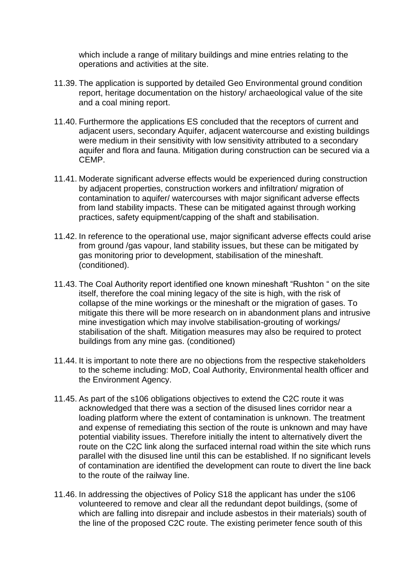which include a range of military buildings and mine entries relating to the operations and activities at the site.

- 11.39. The application is supported by detailed Geo Environmental ground condition report, heritage documentation on the history/ archaeological value of the site and a coal mining report.
- 11.40. Furthermore the applications ES concluded that the receptors of current and adjacent users, secondary Aquifer, adjacent watercourse and existing buildings were medium in their sensitivity with low sensitivity attributed to a secondary aquifer and flora and fauna. Mitigation during construction can be secured via a CEMP.
- 11.41. Moderate significant adverse effects would be experienced during construction by adjacent properties, construction workers and infiltration/ migration of contamination to aquifer/ watercourses with major significant adverse effects from land stability impacts. These can be mitigated against through working practices, safety equipment/capping of the shaft and stabilisation.
- 11.42. In reference to the operational use, major significant adverse effects could arise from ground /gas vapour, land stability issues, but these can be mitigated by gas monitoring prior to development, stabilisation of the mineshaft. (conditioned).
- 11.43. The Coal Authority report identified one known mineshaft "Rushton " on the site itself, therefore the coal mining legacy of the site is high, with the risk of collapse of the mine workings or the mineshaft or the migration of gases. To mitigate this there will be more research on in abandonment plans and intrusive mine investigation which may involve stabilisation-grouting of workings/ stabilisation of the shaft. Mitigation measures may also be required to protect buildings from any mine gas. (conditioned)
- 11.44. It is important to note there are no objections from the respective stakeholders to the scheme including: MoD, Coal Authority, Environmental health officer and the Environment Agency.
- 11.45. As part of the s106 obligations objectives to extend the C2C route it was acknowledged that there was a section of the disused lines corridor near a loading platform where the extent of contamination is unknown. The treatment and expense of remediating this section of the route is unknown and may have potential viability issues. Therefore initially the intent to alternatively divert the route on the C2C link along the surfaced internal road within the site which runs parallel with the disused line until this can be established. If no significant levels of contamination are identified the development can route to divert the line back to the route of the railway line.
- 11.46. In addressing the objectives of Policy S18 the applicant has under the s106 volunteered to remove and clear all the redundant depot buildings, (some of which are falling into disrepair and include asbestos in their materials) south of the line of the proposed C2C route. The existing perimeter fence south of this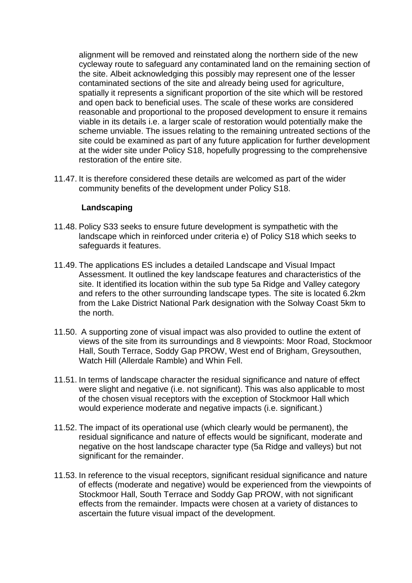alignment will be removed and reinstated along the northern side of the new cycleway route to safeguard any contaminated land on the remaining section of the site. Albeit acknowledging this possibly may represent one of the lesser contaminated sections of the site and already being used for agriculture, spatially it represents a significant proportion of the site which will be restored and open back to beneficial uses. The scale of these works are considered reasonable and proportional to the proposed development to ensure it remains viable in its details i.e. a larger scale of restoration would potentially make the scheme unviable. The issues relating to the remaining untreated sections of the site could be examined as part of any future application for further development at the wider site under Policy S18, hopefully progressing to the comprehensive restoration of the entire site.

11.47. It is therefore considered these details are welcomed as part of the wider community benefits of the development under Policy S18.

#### **Landscaping**

- 11.48. Policy S33 seeks to ensure future development is sympathetic with the landscape which in reinforced under criteria e) of Policy S18 which seeks to safeguards it features.
- 11.49. The applications ES includes a detailed Landscape and Visual Impact Assessment. It outlined the key landscape features and characteristics of the site. It identified its location within the sub type 5a Ridge and Valley category and refers to the other surrounding landscape types. The site is located 6.2km from the Lake District National Park designation with the Solway Coast 5km to the north.
- 11.50. A supporting zone of visual impact was also provided to outline the extent of views of the site from its surroundings and 8 viewpoints: Moor Road, Stockmoor Hall, South Terrace, Soddy Gap PROW, West end of Brigham, Greysouthen, Watch Hill (Allerdale Ramble) and Whin Fell.
- 11.51. In terms of landscape character the residual significance and nature of effect were slight and negative (i.e. not significant). This was also applicable to most of the chosen visual receptors with the exception of Stockmoor Hall which would experience moderate and negative impacts (i.e. significant.)
- 11.52. The impact of its operational use (which clearly would be permanent), the residual significance and nature of effects would be significant, moderate and negative on the host landscape character type (5a Ridge and valleys) but not significant for the remainder.
- 11.53. In reference to the visual receptors, significant residual significance and nature of effects (moderate and negative) would be experienced from the viewpoints of Stockmoor Hall, South Terrace and Soddy Gap PROW, with not significant effects from the remainder. Impacts were chosen at a variety of distances to ascertain the future visual impact of the development.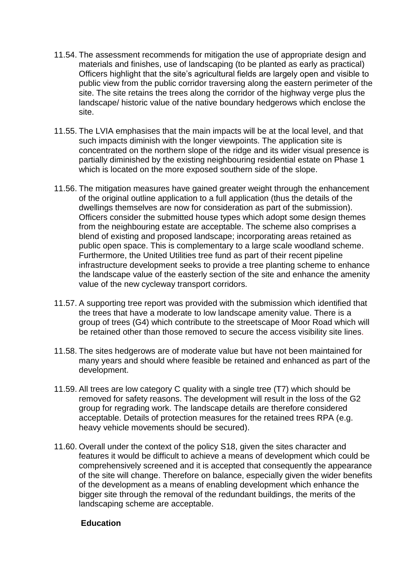- 11.54. The assessment recommends for mitigation the use of appropriate design and materials and finishes, use of landscaping (to be planted as early as practical) Officers highlight that the site's agricultural fields are largely open and visible to public view from the public corridor traversing along the eastern perimeter of the site. The site retains the trees along the corridor of the highway verge plus the landscape/ historic value of the native boundary hedgerows which enclose the site.
- 11.55. The LVIA emphasises that the main impacts will be at the local level, and that such impacts diminish with the longer viewpoints. The application site is concentrated on the northern slope of the ridge and its wider visual presence is partially diminished by the existing neighbouring residential estate on Phase 1 which is located on the more exposed southern side of the slope.
- 11.56. The mitigation measures have gained greater weight through the enhancement of the original outline application to a full application (thus the details of the dwellings themselves are now for consideration as part of the submission). Officers consider the submitted house types which adopt some design themes from the neighbouring estate are acceptable. The scheme also comprises a blend of existing and proposed landscape; incorporating areas retained as public open space. This is complementary to a large scale woodland scheme. Furthermore, the United Utilities tree fund as part of their recent pipeline infrastructure development seeks to provide a tree planting scheme to enhance the landscape value of the easterly section of the site and enhance the amenity value of the new cycleway transport corridors.
- 11.57. A supporting tree report was provided with the submission which identified that the trees that have a moderate to low landscape amenity value. There is a group of trees (G4) which contribute to the streetscape of Moor Road which will be retained other than those removed to secure the access visibility site lines.
- 11.58. The sites hedgerows are of moderate value but have not been maintained for many years and should where feasible be retained and enhanced as part of the development.
- 11.59. All trees are low category C quality with a single tree (T7) which should be removed for safety reasons. The development will result in the loss of the G2 group for regrading work. The landscape details are therefore considered acceptable. Details of protection measures for the retained trees RPA (e.g. heavy vehicle movements should be secured).
- 11.60. Overall under the context of the policy S18, given the sites character and features it would be difficult to achieve a means of development which could be comprehensively screened and it is accepted that consequently the appearance of the site will change. Therefore on balance, especially given the wider benefits of the development as a means of enabling development which enhance the bigger site through the removal of the redundant buildings, the merits of the landscaping scheme are acceptable.

### **Education**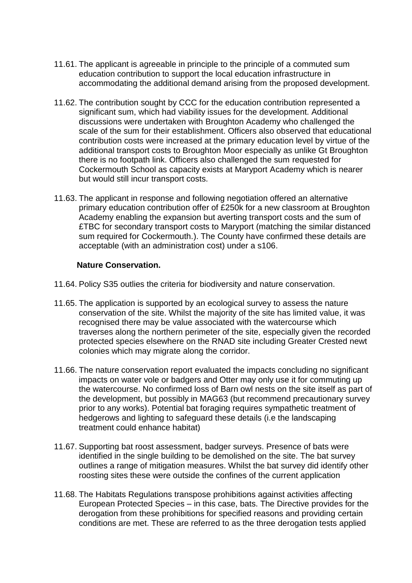- 11.61. The applicant is agreeable in principle to the principle of a commuted sum education contribution to support the local education infrastructure in accommodating the additional demand arising from the proposed development.
- 11.62. The contribution sought by CCC for the education contribution represented a significant sum, which had viability issues for the development. Additional discussions were undertaken with Broughton Academy who challenged the scale of the sum for their establishment. Officers also observed that educational contribution costs were increased at the primary education level by virtue of the additional transport costs to Broughton Moor especially as unlike Gt Broughton there is no footpath link. Officers also challenged the sum requested for Cockermouth School as capacity exists at Maryport Academy which is nearer but would still incur transport costs.
- 11.63. The applicant in response and following negotiation offered an alternative primary education contribution offer of £250k for a new classroom at Broughton Academy enabling the expansion but averting transport costs and the sum of £TBC for secondary transport costs to Maryport (matching the similar distanced sum required for Cockermouth.). The County have confirmed these details are acceptable (with an administration cost) under a s106.

#### **Nature Conservation.**

- 11.64. Policy S35 outlies the criteria for biodiversity and nature conservation.
- 11.65. The application is supported by an ecological survey to assess the nature conservation of the site. Whilst the majority of the site has limited value, it was recognised there may be value associated with the watercourse which traverses along the northern perimeter of the site, especially given the recorded protected species elsewhere on the RNAD site including Greater Crested newt colonies which may migrate along the corridor.
- 11.66. The nature conservation report evaluated the impacts concluding no significant impacts on water vole or badgers and Otter may only use it for commuting up the watercourse. No confirmed loss of Barn owl nests on the site itself as part of the development, but possibly in MAG63 (but recommend precautionary survey prior to any works). Potential bat foraging requires sympathetic treatment of hedgerows and lighting to safeguard these details (i.e the landscaping treatment could enhance habitat)
- 11.67. Supporting bat roost assessment, badger surveys. Presence of bats were identified in the single building to be demolished on the site. The bat survey outlines a range of mitigation measures. Whilst the bat survey did identify other roosting sites these were outside the confines of the current application
- 11.68. The Habitats Regulations transpose prohibitions against activities affecting European Protected Species – in this case, bats. The Directive provides for the derogation from these prohibitions for specified reasons and providing certain conditions are met. These are referred to as the three derogation tests applied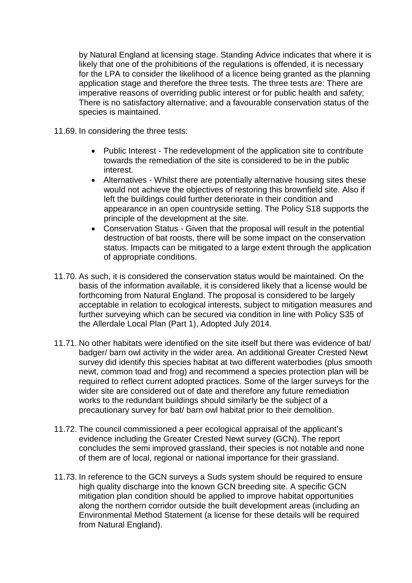by Natural England at licensing stage. Standing Advice indicates that where it is likely that one of the prohibitions of the regulations is offended, it is necessary for the LPA to consider the likelihood of a licence being granted as the planning application stage and therefore the three tests. The three tests are: There are imperative reasons of overriding public interest or for public health and safety; There is no satisfactory alternative; and a favourable conservation status of the species is maintained.

11.69. In considering the three tests:

- Public Interest The redevelopment of the application site to contribute towards the remediation of the site is considered to be in the public interest.
- Alternatives Whilst there are potentially alternative housing sites these would not achieve the objectives of restoring this brownfield site. Also if left the buildings could further deteriorate in their condition and appearance in an open countryside setting. The Policy S18 supports the principle of the development at the site.
- Conservation Status Given that the proposal will result in the potential destruction of bat roosts, there will be some impact on the conservation status. Impacts can be mitigated to a large extent through the application of appropriate conditions.
- 11.70. As such, it is considered the conservation status would be maintained. On the basis of the information available, it is considered likely that a license would be forthcoming from Natural England. The proposal is considered to be largely acceptable in relation to ecological interests, subject to mitigation measures and further surveying which can be secured via condition in line with Policy S35 of the Allerdale Local Plan (Part 1), Adopted July 2014.
- 11.71. No other habitats were identified on the site itself but there was evidence of bat/ badger/ barn owl activity in the wider area. An additional Greater Crested Newt survey did identify this species habitat at two different waterbodies (plus smooth newt, common toad and frog) and recommend a species protection plan will be required to reflect current adopted practices. Some of the larger surveys for the wider site are considered out of date and therefore any future remediation works to the redundant buildings should similarly be the subject of a precautionary survey for bat/ barn owl habitat prior to their demolition.
- 11.72. The council commissioned a peer ecological appraisal of the applicant's evidence including the Greater Crested Newt survey (GCN). The report concludes the semi improved grassland, their species is not notable and none of them are of local, regional or national importance for their grassland.
- 11.73. In reference to the GCN surveys a Suds system should be required to ensure high quality discharge into the known GCN breeding site. A specific GCN mitigation plan condition should be applied to improve habitat opportunities along the northern corridor outside the built development areas (including an Environmental Method Statement (a license for these details will be required from Natural England).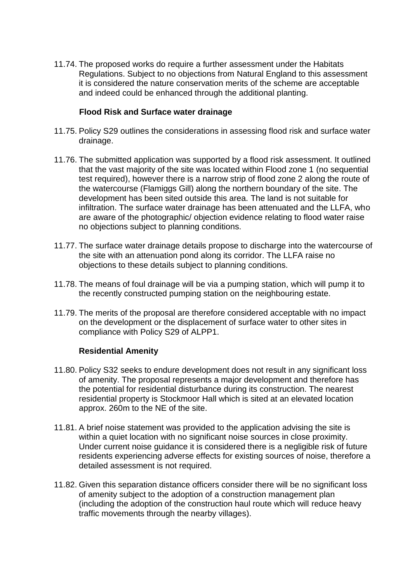11.74. The proposed works do require a further assessment under the Habitats Regulations. Subject to no objections from Natural England to this assessment it is considered the nature conservation merits of the scheme are acceptable and indeed could be enhanced through the additional planting.

#### **Flood Risk and Surface water drainage**

- 11.75. Policy S29 outlines the considerations in assessing flood risk and surface water drainage.
- 11.76. The submitted application was supported by a flood risk assessment. It outlined that the vast majority of the site was located within Flood zone 1 (no sequential test required), however there is a narrow strip of flood zone 2 along the route of the watercourse (Flamiggs Gill) along the northern boundary of the site. The development has been sited outside this area. The land is not suitable for infiltration. The surface water drainage has been attenuated and the LLFA, who are aware of the photographic/ objection evidence relating to flood water raise no objections subject to planning conditions.
- 11.77. The surface water drainage details propose to discharge into the watercourse of the site with an attenuation pond along its corridor. The LLFA raise no objections to these details subject to planning conditions.
- 11.78. The means of foul drainage will be via a pumping station, which will pump it to the recently constructed pumping station on the neighbouring estate.
- 11.79. The merits of the proposal are therefore considered acceptable with no impact on the development or the displacement of surface water to other sites in compliance with Policy S29 of ALPP1.

#### **Residential Amenity**

- 11.80. Policy S32 seeks to endure development does not result in any significant loss of amenity. The proposal represents a major development and therefore has the potential for residential disturbance during its construction. The nearest residential property is Stockmoor Hall which is sited at an elevated location approx. 260m to the NE of the site.
- 11.81. A brief noise statement was provided to the application advising the site is within a quiet location with no significant noise sources in close proximity. Under current noise guidance it is considered there is a negligible risk of future residents experiencing adverse effects for existing sources of noise, therefore a detailed assessment is not required.
- 11.82. Given this separation distance officers consider there will be no significant loss of amenity subject to the adoption of a construction management plan (including the adoption of the construction haul route which will reduce heavy traffic movements through the nearby villages).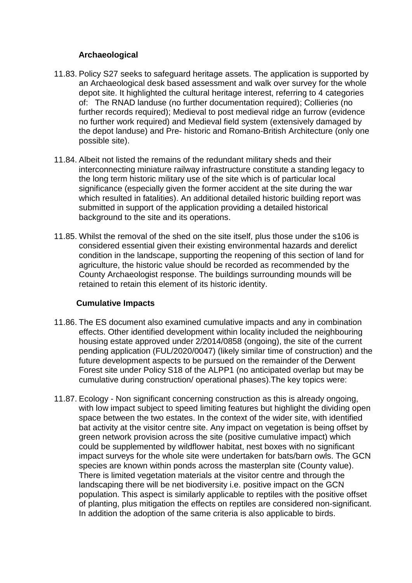### **Archaeological**

- 11.83. Policy S27 seeks to safeguard heritage assets. The application is supported by an Archaeological desk based assessment and walk over survey for the whole depot site. It highlighted the cultural heritage interest, referring to 4 categories of: The RNAD landuse (no further documentation required); Collieries (no further records required); Medieval to post medieval ridge an furrow (evidence no further work required) and Medieval field system (extensively damaged by the depot landuse) and Pre- historic and Romano-British Architecture (only one possible site).
- 11.84. Albeit not listed the remains of the redundant military sheds and their interconnecting miniature railway infrastructure constitute a standing legacy to the long term historic military use of the site which is of particular local significance (especially given the former accident at the site during the war which resulted in fatalities). An additional detailed historic building report was submitted in support of the application providing a detailed historical background to the site and its operations.
- 11.85. Whilst the removal of the shed on the site itself, plus those under the s106 is considered essential given their existing environmental hazards and derelict condition in the landscape, supporting the reopening of this section of land for agriculture, the historic value should be recorded as recommended by the County Archaeologist response. The buildings surrounding mounds will be retained to retain this element of its historic identity.

# **Cumulative Impacts**

- 11.86. The ES document also examined cumulative impacts and any in combination effects. Other identified development within locality included the neighbouring housing estate approved under 2/2014/0858 (ongoing), the site of the current pending application (FUL/2020/0047) (likely similar time of construction) and the future development aspects to be pursued on the remainder of the Derwent Forest site under Policy S18 of the ALPP1 (no anticipated overlap but may be cumulative during construction/ operational phases).The key topics were:
- 11.87. Ecology Non significant concerning construction as this is already ongoing, with low impact subject to speed limiting features but highlight the dividing open space between the two estates. In the context of the wider site, with identified bat activity at the visitor centre site. Any impact on vegetation is being offset by green network provision across the site (positive cumulative impact) which could be supplemented by wildflower habitat, nest boxes with no significant impact surveys for the whole site were undertaken for bats/barn owls. The GCN species are known within ponds across the masterplan site (County value). There is limited vegetation materials at the visitor centre and through the landscaping there will be net biodiversity i.e. positive impact on the GCN population. This aspect is similarly applicable to reptiles with the positive offset of planting, plus mitigation the effects on reptiles are considered non-significant. In addition the adoption of the same criteria is also applicable to birds.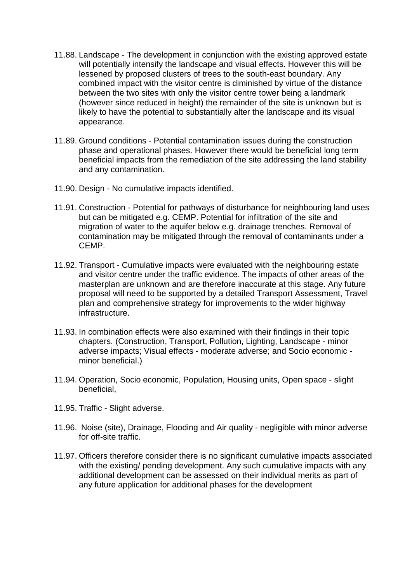- 11.88. Landscape The development in conjunction with the existing approved estate will potentially intensify the landscape and visual effects. However this will be lessened by proposed clusters of trees to the south-east boundary. Any combined impact with the visitor centre is diminished by virtue of the distance between the two sites with only the visitor centre tower being a landmark (however since reduced in height) the remainder of the site is unknown but is likely to have the potential to substantially alter the landscape and its visual appearance.
- 11.89. Ground conditions Potential contamination issues during the construction phase and operational phases. However there would be beneficial long term beneficial impacts from the remediation of the site addressing the land stability and any contamination.
- 11.90. Design No cumulative impacts identified.
- 11.91. Construction Potential for pathways of disturbance for neighbouring land uses but can be mitigated e.g. CEMP. Potential for infiltration of the site and migration of water to the aquifer below e.g. drainage trenches. Removal of contamination may be mitigated through the removal of contaminants under a CEMP.
- 11.92. Transport Cumulative impacts were evaluated with the neighbouring estate and visitor centre under the traffic evidence. The impacts of other areas of the masterplan are unknown and are therefore inaccurate at this stage. Any future proposal will need to be supported by a detailed Transport Assessment, Travel plan and comprehensive strategy for improvements to the wider highway infrastructure.
- 11.93. In combination effects were also examined with their findings in their topic chapters. (Construction, Transport, Pollution, Lighting, Landscape - minor adverse impacts; Visual effects - moderate adverse; and Socio economic minor beneficial.)
- 11.94. Operation, Socio economic, Population, Housing units, Open space slight beneficial,
- 11.95. Traffic Slight adverse.
- 11.96. Noise (site), Drainage, Flooding and Air quality negligible with minor adverse for off-site traffic.
- 11.97. Officers therefore consider there is no significant cumulative impacts associated with the existing/ pending development. Any such cumulative impacts with any additional development can be assessed on their individual merits as part of any future application for additional phases for the development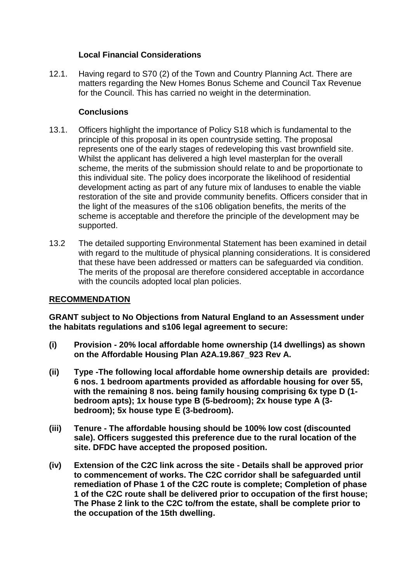### **Local Financial Considerations**

12.1. Having regard to S70 (2) of the Town and Country Planning Act. There are matters regarding the New Homes Bonus Scheme and Council Tax Revenue for the Council. This has carried no weight in the determination.

### **Conclusions**

- 13.1. Officers highlight the importance of Policy S18 which is fundamental to the principle of this proposal in its open countryside setting. The proposal represents one of the early stages of redeveloping this vast brownfield site. Whilst the applicant has delivered a high level masterplan for the overall scheme, the merits of the submission should relate to and be proportionate to this individual site. The policy does incorporate the likelihood of residential development acting as part of any future mix of landuses to enable the viable restoration of the site and provide community benefits. Officers consider that in the light of the measures of the s106 obligation benefits, the merits of the scheme is acceptable and therefore the principle of the development may be supported.
- 13.2 The detailed supporting Environmental Statement has been examined in detail with regard to the multitude of physical planning considerations. It is considered that these have been addressed or matters can be safeguarded via condition. The merits of the proposal are therefore considered acceptable in accordance with the councils adopted local plan policies.

### **RECOMMENDATION**

**GRANT subject to No Objections from Natural England to an Assessment under the habitats regulations and s106 legal agreement to secure:**

- **(i) Provision - 20% local affordable home ownership (14 dwellings) as shown on the Affordable Housing Plan A2A.19.867\_923 Rev A.**
- **(ii) Type -The following local affordable home ownership details are provided: 6 nos. 1 bedroom apartments provided as affordable housing for over 55, with the remaining 8 nos. being family housing comprising 6x type D (1 bedroom apts); 1x house type B (5-bedroom); 2x house type A (3 bedroom); 5x house type E (3-bedroom).**
- **(iii) Tenure - The affordable housing should be 100% low cost (discounted sale). Officers suggested this preference due to the rural location of the site. DFDC have accepted the proposed position.**
- **(iv) Extension of the C2C link across the site - Details shall be approved prior to commencement of works. The C2C corridor shall be safeguarded until remediation of Phase 1 of the C2C route is complete; Completion of phase 1 of the C2C route shall be delivered prior to occupation of the first house; The Phase 2 link to the C2C to/from the estate, shall be complete prior to the occupation of the 15th dwelling.**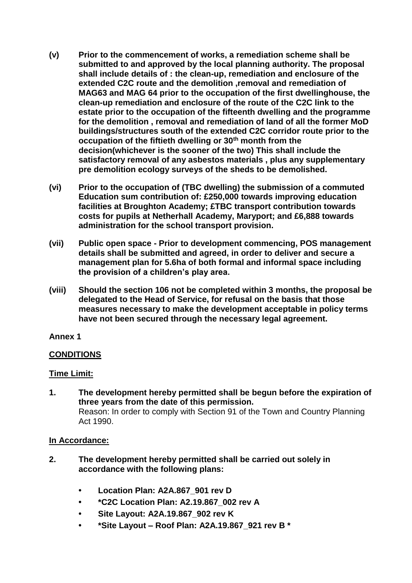- **(v) Prior to the commencement of works, a remediation scheme shall be submitted to and approved by the local planning authority. The proposal shall include details of : the clean-up, remediation and enclosure of the extended C2C route and the demolition ,removal and remediation of MAG63 and MAG 64 prior to the occupation of the first dwellinghouse, the clean-up remediation and enclosure of the route of the C2C link to the estate prior to the occupation of the fifteenth dwelling and the programme for the demolition , removal and remediation of land of all the former MoD buildings/structures south of the extended C2C corridor route prior to the occupation of the fiftieth dwelling or 30th month from the decision(whichever is the sooner of the two) This shall include the satisfactory removal of any asbestos materials , plus any supplementary pre demolition ecology surveys of the sheds to be demolished.**
- **(vi) Prior to the occupation of (TBC dwelling) the submission of a commuted Education sum contribution of: £250,000 towards improving education facilities at Broughton Academy; £TBC transport contribution towards costs for pupils at Netherhall Academy, Maryport; and £6,888 towards administration for the school transport provision.**
- **(vii) Public open space - Prior to development commencing, POS management details shall be submitted and agreed, in order to deliver and secure a management plan for 5.6ha of both formal and informal space including the provision of a children's play area.**
- **(viii) Should the section 106 not be completed within 3 months, the proposal be delegated to the Head of Service, for refusal on the basis that those measures necessary to make the development acceptable in policy terms have not been secured through the necessary legal agreement.**

### **Annex 1**

# **CONDITIONS**

### **Time Limit:**

**1. The development hereby permitted shall be begun before the expiration of three years from the date of this permission.** Reason: In order to comply with Section 91 of the Town and Country Planning Act 1990.

### **In Accordance:**

- **2. The development hereby permitted shall be carried out solely in accordance with the following plans:**
	- **Location Plan: A2A.867\_901 rev D**
	- **\*C2C Location Plan: A2.19.867\_002 rev A**
	- **Site Layout: A2A.19.867\_902 rev K**
	- **\*Site Layout – Roof Plan: A2A.19.867\_921 rev B \***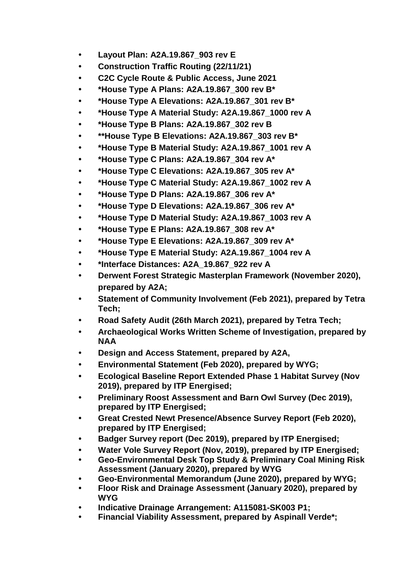- **Layout Plan: A2A.19.867\_903 rev E**
- **Construction Traffic Routing (22/11/21)**
- **C2C Cycle Route & Public Access, June 2021**
- **\*House Type A Plans: A2A.19.867\_300 rev B\***
- **\*House Type A Elevations: A2A.19.867\_301 rev B\***
- **\*House Type A Material Study: A2A.19.867\_1000 rev A**
- **\*House Type B Plans: A2A.19.867\_302 rev B**
- **• \*\*House Type B Elevations: A2A.19.867\_303 rev B\***
- **\*House Type B Material Study: A2A.19.867\_1001 rev A**
- **\*House Type C Plans: A2A.19.867\_304 rev A\***
- **\*House Type C Elevations: A2A.19.867\_305 rev A\***
- **\*House Type C Material Study: A2A.19.867\_1002 rev A**
- **\*House Type D Plans: A2A.19.867\_306 rev A\***
- **\*House Type D Elevations: A2A.19.867\_306 rev A\***
- **\*House Type D Material Study: A2A.19.867\_1003 rev A**
- **\*House Type E Plans: A2A.19.867\_308 rev A\***
- **\*House Type E Elevations: A2A.19.867\_309 rev A\***
- **\*House Type E Material Study: A2A.19.867\_1004 rev A**
- **\*Interface Distances: A2A\_19.867\_922 rev A**
- **Derwent Forest Strategic Masterplan Framework (November 2020), prepared by A2A;**
- **Statement of Community Involvement (Feb 2021), prepared by Tetra Tech;**
- **Road Safety Audit (26th March 2021), prepared by Tetra Tech;**
- **Archaeological Works Written Scheme of Investigation, prepared by NAA**
- **Design and Access Statement, prepared by A2A,**
- **Environmental Statement (Feb 2020), prepared by WYG;**
- **• Ecological Baseline Report Extended Phase 1 Habitat Survey (Nov 2019), prepared by ITP Energised;**
- **• Preliminary Roost Assessment and Barn Owl Survey (Dec 2019), prepared by ITP Energised;**
- **Great Crested Newt Presence/Absence Survey Report (Feb 2020), prepared by ITP Energised;**
- **• Badger Survey report (Dec 2019), prepared by ITP Energised;**
- **• Water Vole Survey Report (Nov, 2019), prepared by ITP Energised;**
- **Geo-Environmental Desk Top Study & Preliminary Coal Mining Risk Assessment (January 2020), prepared by WYG**
- **Geo-Environmental Memorandum (June 2020), prepared by WYG;**
- **Floor Risk and Drainage Assessment (January 2020), prepared by WYG**
- **Indicative Drainage Arrangement: A115081-SK003 P1;**
- **Financial Viability Assessment, prepared by Aspinall Verde\*;**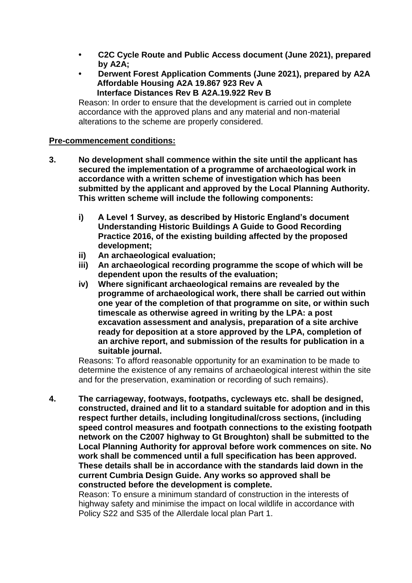- **C2C Cycle Route and Public Access document (June 2021), prepared by A2A;**
- **Derwent Forest Application Comments (June 2021), prepared by A2A Affordable Housing A2A 19.867 923 Rev A Interface Distances Rev B A2A.19.922 Rev B**

Reason: In order to ensure that the development is carried out in complete accordance with the approved plans and any material and non-material alterations to the scheme are properly considered.

#### **Pre-commencement conditions:**

- **3. No development shall commence within the site until the applicant has secured the implementation of a programme of archaeological work in accordance with a written scheme of investigation which has been submitted by the applicant and approved by the Local Planning Authority. This written scheme will include the following components:**
	- **i) A Level 1 Survey, as described by Historic England's document Understanding Historic Buildings A Guide to Good Recording Practice 2016, of the existing building affected by the proposed development;**
	- **ii) An archaeological evaluation;**
	- **iii) An archaeological recording programme the scope of which will be dependent upon the results of the evaluation;**
	- **iv) Where significant archaeological remains are revealed by the programme of archaeological work, there shall be carried out within one year of the completion of that programme on site, or within such timescale as otherwise agreed in writing by the LPA: a post excavation assessment and analysis, preparation of a site archive ready for deposition at a store approved by the LPA, completion of an archive report, and submission of the results for publication in a suitable journal.**

Reasons: To afford reasonable opportunity for an examination to be made to determine the existence of any remains of archaeological interest within the site and for the preservation, examination or recording of such remains).

**4. The carriageway, footways, footpaths, cycleways etc. shall be designed, constructed, drained and lit to a standard suitable for adoption and in this respect further details, including longitudinal/cross sections, (including speed control measures and footpath connections to the existing footpath network on the C2007 highway to Gt Broughton) shall be submitted to the Local Planning Authority for approval before work commences on site. No work shall be commenced until a full specification has been approved. These details shall be in accordance with the standards laid down in the current Cumbria Design Guide. Any works so approved shall be constructed before the development is complete.**

Reason: To ensure a minimum standard of construction in the interests of highway safety and minimise the impact on local wildlife in accordance with Policy S22 and S35 of the Allerdale local plan Part 1.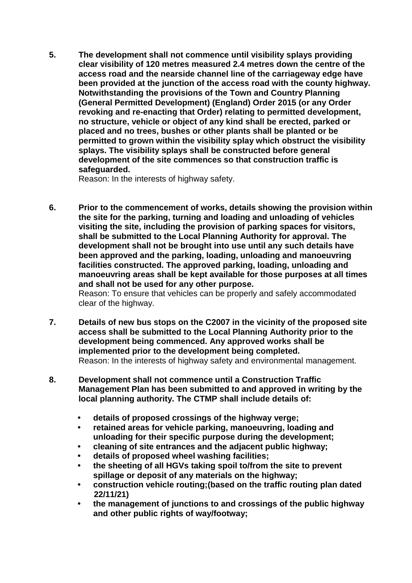**5. The development shall not commence until visibility splays providing clear visibility of 120 metres measured 2.4 metres down the centre of the access road and the nearside channel line of the carriageway edge have been provided at the junction of the access road with the county highway. Notwithstanding the provisions of the Town and Country Planning (General Permitted Development) (England) Order 2015 (or any Order revoking and re-enacting that Order) relating to permitted development, no structure, vehicle or object of any kind shall be erected, parked or placed and no trees, bushes or other plants shall be planted or be permitted to grown within the visibility splay which obstruct the visibility splays. The visibility splays shall be constructed before general development of the site commences so that construction traffic is safeguarded.**

Reason: In the interests of highway safety.

**6. Prior to the commencement of works, details showing the provision within the site for the parking, turning and loading and unloading of vehicles visiting the site, including the provision of parking spaces for visitors, shall be submitted to the Local Planning Authority for approval. The development shall not be brought into use until any such details have been approved and the parking, loading, unloading and manoeuvring facilities constructed. The approved parking, loading, unloading and manoeuvring areas shall be kept available for those purposes at all times and shall not be used for any other purpose.**

Reason: To ensure that vehicles can be properly and safely accommodated clear of the highway.

- **7. Details of new bus stops on the C2007 in the vicinity of the proposed site access shall be submitted to the Local Planning Authority prior to the development being commenced. Any approved works shall be implemented prior to the development being completed.** Reason: In the interests of highway safety and environmental management.
- **8. Development shall not commence until a Construction Traffic Management Plan has been submitted to and approved in writing by the local planning authority. The CTMP shall include details of:** 
	- **details of proposed crossings of the highway verge;**
	- **retained areas for vehicle parking, manoeuvring, loading and unloading for their specific purpose during the development;**
	- **cleaning of site entrances and the adjacent public highway;**
	- **details of proposed wheel washing facilities;**
	- **the sheeting of all HGVs taking spoil to/from the site to prevent spillage or deposit of any materials on the highway;**
	- **construction vehicle routing;(based on the traffic routing plan dated 22/11/21)**
	- **the management of junctions to and crossings of the public highway and other public rights of way/footway;**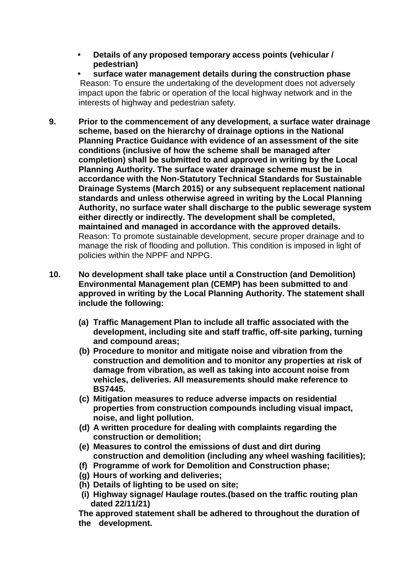**• Details of any proposed temporary access points (vehicular / pedestrian)**

 **• surface water management details during the construction phase**  Reason: To ensure the undertaking of the development does not adversely impact upon the fabric or operation of the local highway network and in the interests of highway and pedestrian safety.

- **9. Prior to the commencement of any development, a surface water drainage scheme, based on the hierarchy of drainage options in the National Planning Practice Guidance with evidence of an assessment of the site conditions (inclusive of how the scheme shall be managed after completion) shall be submitted to and approved in writing by the Local Planning Authority. The surface water drainage scheme must be in accordance with the Non-Statutory Technical Standards for Sustainable Drainage Systems (March 2015) or any subsequent replacement national standards and unless otherwise agreed in writing by the Local Planning Authority, no surface water shall discharge to the public sewerage system either directly or indirectly. The development shall be completed, maintained and managed in accordance with the approved details.** Reason: To promote sustainable development, secure proper drainage and to manage the risk of flooding and pollution. This condition is imposed in light of policies within the NPPF and NPPG.
- **10. No development shall take place until a Construction (and Demolition) Environmental Management plan (CEMP) has been submitted to and approved in writing by the Local Planning Authority. The statement shall include the following:**
	- **(a) Traffic Management Plan to include all traffic associated with the development, including site and staff traffic, off-site parking, turning and compound areas;**
	- **(b) Procedure to monitor and mitigate noise and vibration from the construction and demolition and to monitor any properties at risk of damage from vibration, as well as taking into account noise from vehicles, deliveries. All measurements should make reference to BS7445.**
	- **(c) Mitigation measures to reduce adverse impacts on residential properties from construction compounds including visual impact, noise, and light pollution.**
	- **(d) A written procedure for dealing with complaints regarding the construction or demolition;**
	- **(e) Measures to control the emissions of dust and dirt during construction and demolition (including any wheel washing facilities);**
	- **(f) Programme of work for Demolition and Construction phase;**
	- **(g) Hours of working and deliveries;**
	- **(h) Details of lighting to be used on site;**
	- **(i) Highway signage/ Haulage routes.(based on the traffic routing plan dated 22/11/21)**

**The approved statement shall be adhered to throughout the duration of the development.**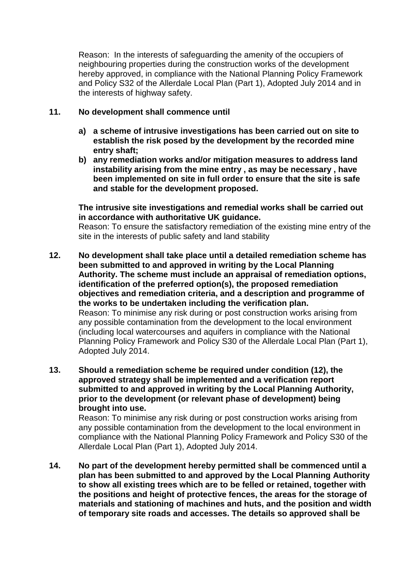Reason: In the interests of safeguarding the amenity of the occupiers of neighbouring properties during the construction works of the development hereby approved, in compliance with the National Planning Policy Framework and Policy S32 of the Allerdale Local Plan (Part 1), Adopted July 2014 and in the interests of highway safety.

### **11. No development shall commence until**

- **a) a scheme of intrusive investigations has been carried out on site to establish the risk posed by the development by the recorded mine entry shaft;**
- **b) any remediation works and/or mitigation measures to address land instability arising from the mine entry , as may be necessary , have been implemented on site in full order to ensure that the site is safe and stable for the development proposed.**

### **The intrusive site investigations and remedial works shall be carried out in accordance with authoritative UK guidance.**

Reason: To ensure the satisfactory remediation of the existing mine entry of the site in the interests of public safety and land stability

- **12. No development shall take place until a detailed remediation scheme has been submitted to and approved in writing by the Local Planning Authority. The scheme must include an appraisal of remediation options, identification of the preferred option(s), the proposed remediation objectives and remediation criteria, and a description and programme of the works to be undertaken including the verification plan.** Reason: To minimise any risk during or post construction works arising from any possible contamination from the development to the local environment (including local watercourses and aquifers in compliance with the National Planning Policy Framework and Policy S30 of the Allerdale Local Plan (Part 1), Adopted July 2014.
- **13. Should a remediation scheme be required under condition (12), the approved strategy shall be implemented and a verification report submitted to and approved in writing by the Local Planning Authority, prior to the development (or relevant phase of development) being brought into use.**

 Reason: To minimise any risk during or post construction works arising from any possible contamination from the development to the local environment in compliance with the National Planning Policy Framework and Policy S30 of the Allerdale Local Plan (Part 1), Adopted July 2014.

**14. No part of the development hereby permitted shall be commenced until a plan has been submitted to and approved by the Local Planning Authority to show all existing trees which are to be felled or retained, together with the positions and height of protective fences, the areas for the storage of materials and stationing of machines and huts, and the position and width of temporary site roads and accesses. The details so approved shall be**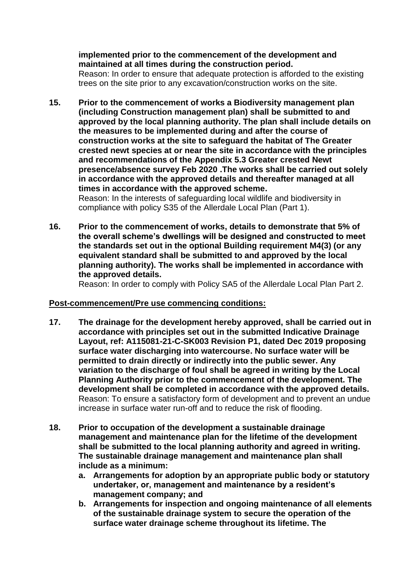### **implemented prior to the commencement of the development and maintained at all times during the construction period.**

Reason: In order to ensure that adequate protection is afforded to the existing trees on the site prior to any excavation/construction works on the site.

**15. Prior to the commencement of works a Biodiversity management plan (including Construction management plan) shall be submitted to and approved by the local planning authority. The plan shall include details on the measures to be implemented during and after the course of construction works at the site to safeguard the habitat of The Greater crested newt species at or near the site in accordance with the principles and recommendations of the Appendix 5.3 Greater crested Newt presence/absence survey Feb 2020 .The works shall be carried out solely in accordance with the approved details and thereafter managed at all times in accordance with the approved scheme.**

Reason: In the interests of safeguarding local wildlife and biodiversity in compliance with policy S35 of the Allerdale Local Plan (Part 1).

**16. Prior to the commencement of works, details to demonstrate that 5% of the overall scheme's dwellings will be designed and constructed to meet the standards set out in the optional Building requirement M4(3) (or any equivalent standard shall be submitted to and approved by the local planning authority). The works shall be implemented in accordance with the approved details.**

Reason: In order to comply with Policy SA5 of the Allerdale Local Plan Part 2.

### **Post-commencement/Pre use commencing conditions:**

- **17. The drainage for the development hereby approved, shall be carried out in accordance with principles set out in the submitted Indicative Drainage Layout, ref: A115081-21-C-SK003 Revision P1, dated Dec 2019 proposing surface water discharging into watercourse. No surface water will be permitted to drain directly or indirectly into the public sewer. Any variation to the discharge of foul shall be agreed in writing by the Local Planning Authority prior to the commencement of the development. The development shall be completed in accordance with the approved details.**  Reason: To ensure a satisfactory form of development and to prevent an undue increase in surface water run-off and to reduce the risk of flooding.
- **18. Prior to occupation of the development a sustainable drainage management and maintenance plan for the lifetime of the development shall be submitted to the local planning authority and agreed in writing. The sustainable drainage management and maintenance plan shall include as a minimum:**
	- **a. Arrangements for adoption by an appropriate public body or statutory undertaker, or, management and maintenance by a resident's management company; and**
	- **b. Arrangements for inspection and ongoing maintenance of all elements of the sustainable drainage system to secure the operation of the surface water drainage scheme throughout its lifetime. The**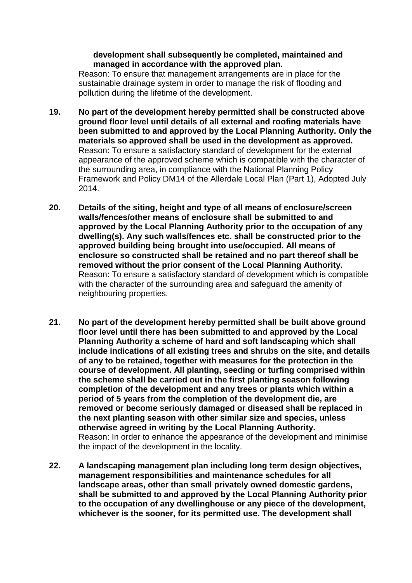#### **development shall subsequently be completed, maintained and managed in accordance with the approved plan.**

Reason: To ensure that management arrangements are in place for the sustainable drainage system in order to manage the risk of flooding and pollution during the lifetime of the development.

- **19. No part of the development hereby permitted shall be constructed above ground floor level until details of all external and roofing materials have been submitted to and approved by the Local Planning Authority. Only the materials so approved shall be used in the development as approved.** Reason: To ensure a satisfactory standard of development for the external appearance of the approved scheme which is compatible with the character of the surrounding area, in compliance with the National Planning Policy Framework and Policy DM14 of the Allerdale Local Plan (Part 1), Adopted July 2014.
- **20. Details of the siting, height and type of all means of enclosure/screen walls/fences/other means of enclosure shall be submitted to and approved by the Local Planning Authority prior to the occupation of any dwelling(s). Any such walls/fences etc. shall be constructed prior to the approved building being brought into use/occupied. All means of enclosure so constructed shall be retained and no part thereof shall be removed without the prior consent of the Local Planning Authority.** Reason: To ensure a satisfactory standard of development which is compatible with the character of the surrounding area and safeguard the amenity of neighbouring properties.
- **21. No part of the development hereby permitted shall be built above ground floor level until there has been submitted to and approved by the Local Planning Authority a scheme of hard and soft landscaping which shall include indications of all existing trees and shrubs on the site, and details of any to be retained, together with measures for the protection in the course of development. All planting, seeding or turfing comprised within the scheme shall be carried out in the first planting season following completion of the development and any trees or plants which within a period of 5 years from the completion of the development die, are removed or become seriously damaged or diseased shall be replaced in the next planting season with other similar size and species, unless otherwise agreed in writing by the Local Planning Authority.**  Reason: In order to enhance the appearance of the development and minimise the impact of the development in the locality.
- **22. A landscaping management plan including long term design objectives, management responsibilities and maintenance schedules for all landscape areas, other than small privately owned domestic gardens, shall be submitted to and approved by the Local Planning Authority prior to the occupation of any dwellinghouse or any piece of the development, whichever is the sooner, for its permitted use. The development shall**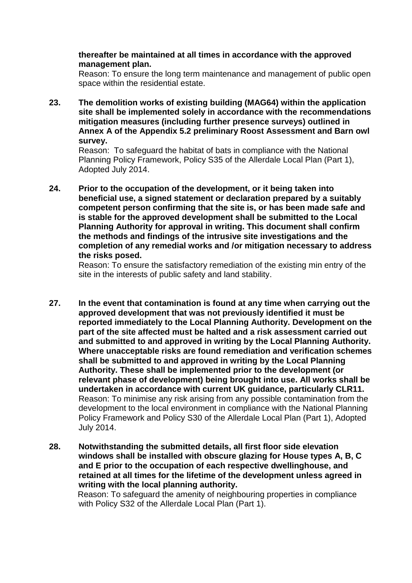#### **thereafter be maintained at all times in accordance with the approved management plan.**

Reason: To ensure the long term maintenance and management of public open space within the residential estate.

**23. The demolition works of existing building (MAG64) within the application site shall be implemented solely in accordance with the recommendations mitigation measures (including further presence surveys) outlined in Annex A of the Appendix 5.2 preliminary Roost Assessment and Barn owl survey.**

Reason: To safeguard the habitat of bats in compliance with the National Planning Policy Framework, Policy S35 of the Allerdale Local Plan (Part 1), Adopted July 2014.

**24. Prior to the occupation of the development, or it being taken into beneficial use, a signed statement or declaration prepared by a suitably competent person confirming that the site is, or has been made safe and is stable for the approved development shall be submitted to the Local Planning Authority for approval in writing. This document shall confirm the methods and findings of the intrusive site investigations and the completion of any remedial works and /or mitigation necessary to address the risks posed.**

Reason: To ensure the satisfactory remediation of the existing min entry of the site in the interests of public safety and land stability.

- **27. In the event that contamination is found at any time when carrying out the approved development that was not previously identified it must be reported immediately to the Local Planning Authority. Development on the part of the site affected must be halted and a risk assessment carried out and submitted to and approved in writing by the Local Planning Authority. Where unacceptable risks are found remediation and verification schemes shall be submitted to and approved in writing by the Local Planning Authority. These shall be implemented prior to the development (or relevant phase of development) being brought into use. All works shall be undertaken in accordance with current UK guidance, particularly CLR11.** Reason: To minimise any risk arising from any possible contamination from the development to the local environment in compliance with the National Planning Policy Framework and Policy S30 of the Allerdale Local Plan (Part 1), Adopted July 2014.
- **28. Notwithstanding the submitted details, all first floor side elevation windows shall be installed with obscure glazing for House types A, B, C and E prior to the occupation of each respective dwellinghouse, and retained at all times for the lifetime of the development unless agreed in writing with the local planning authority.**

Reason: To safeguard the amenity of neighbouring properties in compliance with Policy S32 of the Allerdale Local Plan (Part 1).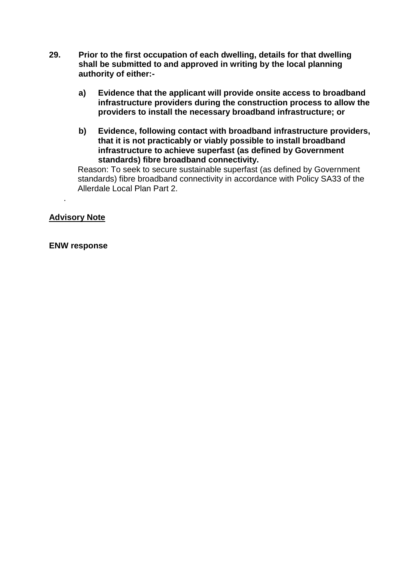- **29. Prior to the first occupation of each dwelling, details for that dwelling shall be submitted to and approved in writing by the local planning authority of either:**
	- **a) Evidence that the applicant will provide onsite access to broadband infrastructure providers during the construction process to allow the providers to install the necessary broadband infrastructure; or**
	- **b) Evidence, following contact with broadband infrastructure providers, that it is not practicably or viably possible to install broadband infrastructure to achieve superfast (as defined by Government standards) fibre broadband connectivity.**

 Reason: To seek to secure sustainable superfast (as defined by Government standards) fibre broadband connectivity in accordance with Policy SA33 of the Allerdale Local Plan Part 2.

# **Advisory Note**

.

### **ENW response**